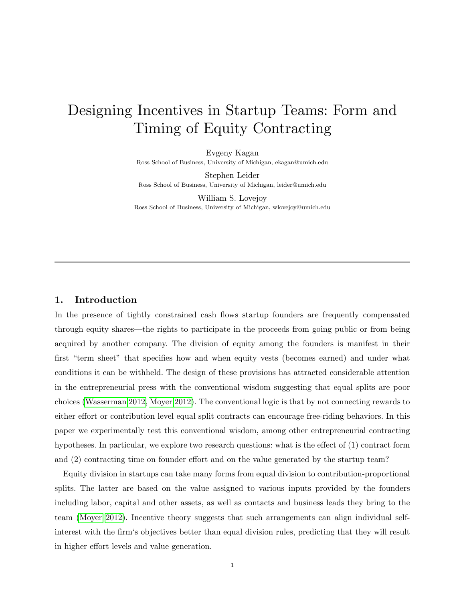# Designing Incentives in Startup Teams: Form and Timing of Equity Contracting

Evgeny Kagan

Ross School of Business, University of Michigan, ekagan@umich.edu

Stephen Leider Ross School of Business, University of Michigan, leider@umich.edu

William S. Lovejoy Ross School of Business, University of Michigan, wlovejoy@umich.edu

## 1. Introduction

In the presence of tightly constrained cash flows startup founders are frequently compensated through equity shares—the rights to participate in the proceeds from going public or from being acquired by another company. The division of equity among the founders is manifest in their first "term sheet" that specifies how and when equity vests (becomes earned) and under what conditions it can be withheld. The design of these provisions has attracted considerable attention in the entrepreneurial press with the conventional wisdom suggesting that equal splits are poor choices [\(Wasserman 2012,](#page-33-0) [Moyer 2012\)](#page-32-0). The conventional logic is that by not connecting rewards to either effort or contribution level equal split contracts can encourage free-riding behaviors. In this paper we experimentally test this conventional wisdom, among other entrepreneurial contracting hypotheses. In particular, we explore two research questions: what is the effect of (1) contract form and (2) contracting time on founder effort and on the value generated by the startup team?

Equity division in startups can take many forms from equal division to contribution-proportional splits. The latter are based on the value assigned to various inputs provided by the founders including labor, capital and other assets, as well as contacts and business leads they bring to the team [\(Moyer 2012\)](#page-32-0). Incentive theory suggests that such arrangements can align individual selfinterest with the firm's objectives better than equal division rules, predicting that they will result in higher effort levels and value generation.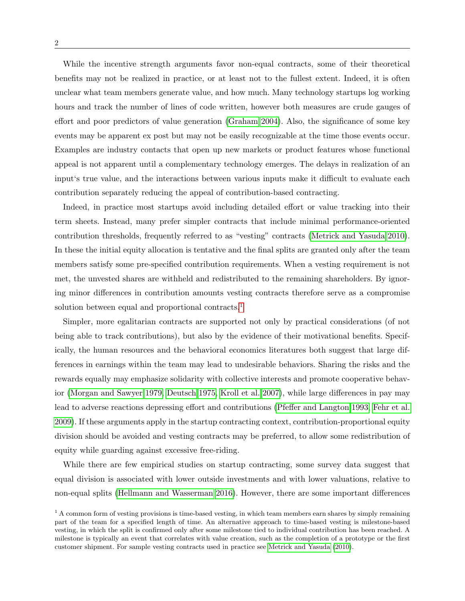While the incentive strength arguments favor non-equal contracts, some of their theoretical benefits may not be realized in practice, or at least not to the fullest extent. Indeed, it is often unclear what team members generate value, and how much. Many technology startups log working hours and track the number of lines of code written, however both measures are crude gauges of effort and poor predictors of value generation [\(Graham 2004\)](#page-31-0). Also, the significance of some key events may be apparent ex post but may not be easily recognizable at the time those events occur. Examples are industry contacts that open up new markets or product features whose functional appeal is not apparent until a complementary technology emerges. The delays in realization of an input's true value, and the interactions between various inputs make it difficult to evaluate each contribution separately reducing the appeal of contribution-based contracting.

Indeed, in practice most startups avoid including detailed effort or value tracking into their term sheets. Instead, many prefer simpler contracts that include minimal performance-oriented contribution thresholds, frequently referred to as "vesting" contracts [\(Metrick and Yasuda 2010\)](#page-32-1). In these the initial equity allocation is tentative and the final splits are granted only after the team members satisfy some pre-specified contribution requirements. When a vesting requirement is not met, the unvested shares are withheld and redistributed to the remaining shareholders. By ignoring minor differences in contribution amounts vesting contracts therefore serve as a compromise solution between equal and proportional contracts.<sup>[1](#page-1-0)</sup>

Simpler, more egalitarian contracts are supported not only by practical considerations (of not being able to track contributions), but also by the evidence of their motivational benefits. Specifically, the human resources and the behavioral economics literatures both suggest that large differences in earnings within the team may lead to undesirable behaviors. Sharing the risks and the rewards equally may emphasize solidarity with collective interests and promote cooperative behav-ior [\(Morgan and Sawyer 1979,](#page-32-2) [Deutsch 1975,](#page-31-1) [Kroll et al. 2007\)](#page-32-3), while large differences in pay may lead to adverse reactions depressing effort and contributions [\(Pfeffer and Langton 1993,](#page-32-4) [Fehr et al.](#page-31-2) [2009\)](#page-31-2). If these arguments apply in the startup contracting context, contribution-proportional equity division should be avoided and vesting contracts may be preferred, to allow some redistribution of equity while guarding against excessive free-riding.

While there are few empirical studies on startup contracting, some survey data suggest that equal division is associated with lower outside investments and with lower valuations, relative to non-equal splits [\(Hellmann and Wasserman 2016\)](#page-32-5). However, there are some important differences

<span id="page-1-0"></span> $1 A$  common form of vesting provisions is time-based vesting, in which team members earn shares by simply remaining part of the team for a specified length of time. An alternative approach to time-based vesting is milestone-based vesting, in which the split is confirmed only after some milestone tied to individual contribution has been reached. A milestone is typically an event that correlates with value creation, such as the completion of a prototype or the first customer shipment. For sample vesting contracts used in practice see [Metrick and Yasuda](#page-32-1) [\(2010\)](#page-32-1).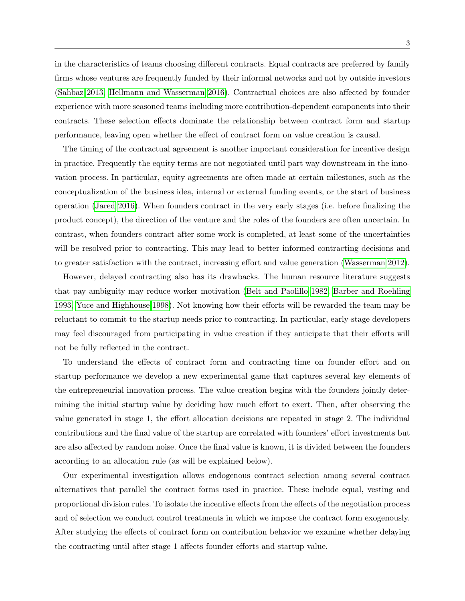in the characteristics of teams choosing different contracts. Equal contracts are preferred by family firms whose ventures are frequently funded by their informal networks and not by outside investors [\(Sahbaz 2013,](#page-33-1) [Hellmann and Wasserman 2016\)](#page-32-5). Contractual choices are also affected by founder experience with more seasoned teams including more contribution-dependent components into their contracts. These selection effects dominate the relationship between contract form and startup performance, leaving open whether the effect of contract form on value creation is causal.

The timing of the contractual agreement is another important consideration for incentive design in practice. Frequently the equity terms are not negotiated until part way downstream in the innovation process. In particular, equity agreements are often made at certain milestones, such as the conceptualization of the business idea, internal or external funding events, or the start of business operation [\(Jared 2016\)](#page-32-6). When founders contract in the very early stages (i.e. before finalizing the product concept), the direction of the venture and the roles of the founders are often uncertain. In contrast, when founders contract after some work is completed, at least some of the uncertainties will be resolved prior to contracting. This may lead to better informed contracting decisions and to greater satisfaction with the contract, increasing effort and value generation [\(Wasserman 2012\)](#page-33-0).

However, delayed contracting also has its drawbacks. The human resource literature suggests that pay ambiguity may reduce worker motivation [\(Belt and Paolillo 1982,](#page-30-0) [Barber and Roehling](#page-30-1) [1993,](#page-30-1) [Yuce and Highhouse 1998\)](#page-33-2). Not knowing how their efforts will be rewarded the team may be reluctant to commit to the startup needs prior to contracting. In particular, early-stage developers may feel discouraged from participating in value creation if they anticipate that their efforts will not be fully reflected in the contract.

To understand the effects of contract form and contracting time on founder effort and on startup performance we develop a new experimental game that captures several key elements of the entrepreneurial innovation process. The value creation begins with the founders jointly determining the initial startup value by deciding how much effort to exert. Then, after observing the value generated in stage 1, the effort allocation decisions are repeated in stage 2. The individual contributions and the final value of the startup are correlated with founders' effort investments but are also affected by random noise. Once the final value is known, it is divided between the founders according to an allocation rule (as will be explained below).

Our experimental investigation allows endogenous contract selection among several contract alternatives that parallel the contract forms used in practice. These include equal, vesting and proportional division rules. To isolate the incentive effects from the effects of the negotiation process and of selection we conduct control treatments in which we impose the contract form exogenously. After studying the effects of contract form on contribution behavior we examine whether delaying the contracting until after stage 1 affects founder efforts and startup value.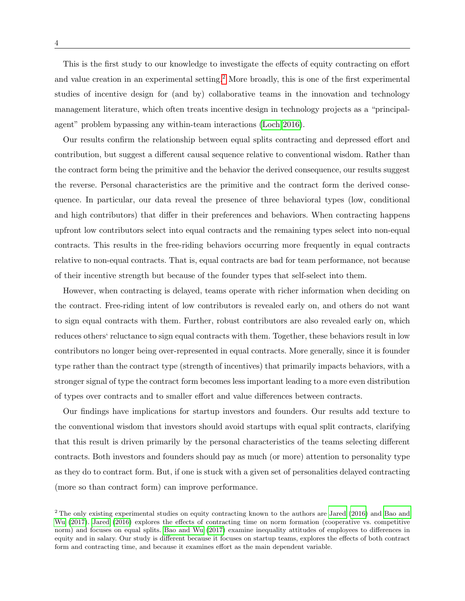This is the first study to our knowledge to investigate the effects of equity contracting on effort and value creation in an experimental setting.<sup>[2](#page-3-0)</sup> More broadly, this is one of the first experimental studies of incentive design for (and by) collaborative teams in the innovation and technology management literature, which often treats incentive design in technology projects as a "principalagent" problem bypassing any within-team interactions [\(Loch 2016\)](#page-32-7).

Our results confirm the relationship between equal splits contracting and depressed effort and contribution, but suggest a different causal sequence relative to conventional wisdom. Rather than the contract form being the primitive and the behavior the derived consequence, our results suggest the reverse. Personal characteristics are the primitive and the contract form the derived consequence. In particular, our data reveal the presence of three behavioral types (low, conditional and high contributors) that differ in their preferences and behaviors. When contracting happens upfront low contributors select into equal contracts and the remaining types select into non-equal contracts. This results in the free-riding behaviors occurring more frequently in equal contracts relative to non-equal contracts. That is, equal contracts are bad for team performance, not because of their incentive strength but because of the founder types that self-select into them.

However, when contracting is delayed, teams operate with richer information when deciding on the contract. Free-riding intent of low contributors is revealed early on, and others do not want to sign equal contracts with them. Further, robust contributors are also revealed early on, which reduces others' reluctance to sign equal contracts with them. Together, these behaviors result in low contributors no longer being over-represented in equal contracts. More generally, since it is founder type rather than the contract type (strength of incentives) that primarily impacts behaviors, with a stronger signal of type the contract form becomes less important leading to a more even distribution of types over contracts and to smaller effort and value differences between contracts.

Our findings have implications for startup investors and founders. Our results add texture to the conventional wisdom that investors should avoid startups with equal split contracts, clarifying that this result is driven primarily by the personal characteristics of the teams selecting different contracts. Both investors and founders should pay as much (or more) attention to personality type as they do to contract form. But, if one is stuck with a given set of personalities delayed contracting (more so than contract form) can improve performance.

<span id="page-3-0"></span><sup>&</sup>lt;sup>2</sup> The only existing experimental studies on equity contracting known to the authors are [Jared](#page-32-6) [\(2016\)](#page-32-6) and [Bao and](#page-30-2) [Wu](#page-30-2) [\(2017\)](#page-30-2). [Jared](#page-32-6) [\(2016\)](#page-32-6) explores the effects of contracting time on norm formation (cooperative vs. competitive norm) and focuses on equal splits. [Bao and Wu](#page-30-2) [\(2017\)](#page-30-2) examine inequality attitudes of employees to differences in equity and in salary. Our study is different because it focuses on startup teams, explores the effects of both contract form and contracting time, and because it examines effort as the main dependent variable.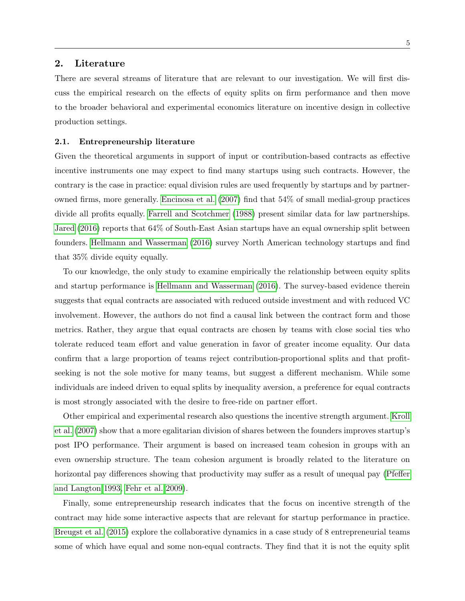## 2. Literature

There are several streams of literature that are relevant to our investigation. We will first discuss the empirical research on the effects of equity splits on firm performance and then move to the broader behavioral and experimental economics literature on incentive design in collective production settings.

#### 2.1. Entrepreneurship literature

Given the theoretical arguments in support of input or contribution-based contracts as effective incentive instruments one may expect to find many startups using such contracts. However, the contrary is the case in practice: equal division rules are used frequently by startups and by partnerowned firms, more generally. [Encinosa et al.](#page-31-3) [\(2007\)](#page-31-3) find that 54% of small medial-group practices divide all profits equally. [Farrell and Scotchmer](#page-31-4) [\(1988\)](#page-31-4) present similar data for law partnerships. [Jared](#page-32-6) [\(2016\)](#page-32-6) reports that 64% of South-East Asian startups have an equal ownership split between founders. [Hellmann and Wasserman](#page-32-5) [\(2016\)](#page-32-5) survey North American technology startups and find that 35% divide equity equally.

To our knowledge, the only study to examine empirically the relationship between equity splits and startup performance is [Hellmann and Wasserman](#page-32-5) [\(2016\)](#page-32-5). The survey-based evidence therein suggests that equal contracts are associated with reduced outside investment and with reduced VC involvement. However, the authors do not find a causal link between the contract form and those metrics. Rather, they argue that equal contracts are chosen by teams with close social ties who tolerate reduced team effort and value generation in favor of greater income equality. Our data confirm that a large proportion of teams reject contribution-proportional splits and that profitseeking is not the sole motive for many teams, but suggest a different mechanism. While some individuals are indeed driven to equal splits by inequality aversion, a preference for equal contracts is most strongly associated with the desire to free-ride on partner effort.

Other empirical and experimental research also questions the incentive strength argument. [Kroll](#page-32-3) [et al.](#page-32-3) [\(2007\)](#page-32-3) show that a more egalitarian division of shares between the founders improves startup's post IPO performance. Their argument is based on increased team cohesion in groups with an even ownership structure. The team cohesion argument is broadly related to the literature on horizontal pay differences showing that productivity may suffer as a result of unequal pay [\(Pfeffer](#page-32-4) [and Langton 1993,](#page-32-4) [Fehr et al. 2009\)](#page-31-2).

Finally, some entrepreneurship research indicates that the focus on incentive strength of the contract may hide some interactive aspects that are relevant for startup performance in practice. [Breugst et al.](#page-30-3) [\(2015\)](#page-30-3) explore the collaborative dynamics in a case study of 8 entrepreneurial teams some of which have equal and some non-equal contracts. They find that it is not the equity split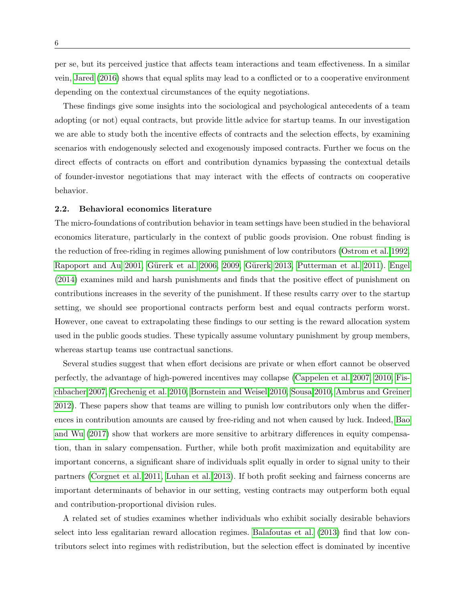per se, but its perceived justice that affects team interactions and team effectiveness. In a similar vein, [Jared](#page-32-6) [\(2016\)](#page-32-6) shows that equal splits may lead to a conflicted or to a cooperative environment depending on the contextual circumstances of the equity negotiations.

These findings give some insights into the sociological and psychological antecedents of a team adopting (or not) equal contracts, but provide little advice for startup teams. In our investigation we are able to study both the incentive effects of contracts and the selection effects, by examining scenarios with endogenously selected and exogenously imposed contracts. Further we focus on the direct effects of contracts on effort and contribution dynamics bypassing the contextual details of founder-investor negotiations that may interact with the effects of contracts on cooperative behavior.

### 2.2. Behavioral economics literature

The micro-foundations of contribution behavior in team settings have been studied in the behavioral economics literature, particularly in the context of public goods provision. One robust finding is the reduction of free-riding in regimes allowing punishment of low contributors [\(Ostrom et al. 1992,](#page-32-8) [Rapoport and Au 2001,](#page-33-3) Gürerk et al. 2006, [2009,](#page-31-6) Gürerk 2013, [Putterman et al. 2011\)](#page-32-9). [Engel](#page-31-8) [\(2014\)](#page-31-8) examines mild and harsh punishments and finds that the positive effect of punishment on contributions increases in the severity of the punishment. If these results carry over to the startup setting, we should see proportional contracts perform best and equal contracts perform worst. However, one caveat to extrapolating these findings to our setting is the reward allocation system used in the public goods studies. These typically assume voluntary punishment by group members, whereas startup teams use contractual sanctions.

Several studies suggest that when effort decisions are private or when effort cannot be observed perfectly, the advantage of high-powered incentives may collapse [\(Cappelen et al. 2007,](#page-30-4) [2010,](#page-30-5) [Fis](#page-31-9)[chbacher 2007,](#page-31-9) [Grechenig et al. 2010,](#page-31-10) [Bornstein and Weisel 2010,](#page-30-6) [Sousa 2010,](#page-33-4) [Ambrus and Greiner](#page-30-7) [2012\)](#page-30-7). These papers show that teams are willing to punish low contributors only when the differences in contribution amounts are caused by free-riding and not when caused by luck. Indeed, [Bao](#page-30-2) [and Wu](#page-30-2) [\(2017\)](#page-30-2) show that workers are more sensitive to arbitrary differences in equity compensation, than in salary compensation. Further, while both profit maximization and equitability are important concerns, a significant share of individuals split equally in order to signal unity to their partners [\(Corgnet et al. 2011,](#page-31-11) [Luhan et al. 2013\)](#page-32-10). If both profit seeking and fairness concerns are important determinants of behavior in our setting, vesting contracts may outperform both equal and contribution-proportional division rules.

A related set of studies examines whether individuals who exhibit socially desirable behaviors select into less egalitarian reward allocation regimes. [Balafoutas et al.](#page-30-8) [\(2013\)](#page-30-8) find that low contributors select into regimes with redistribution, but the selection effect is dominated by incentive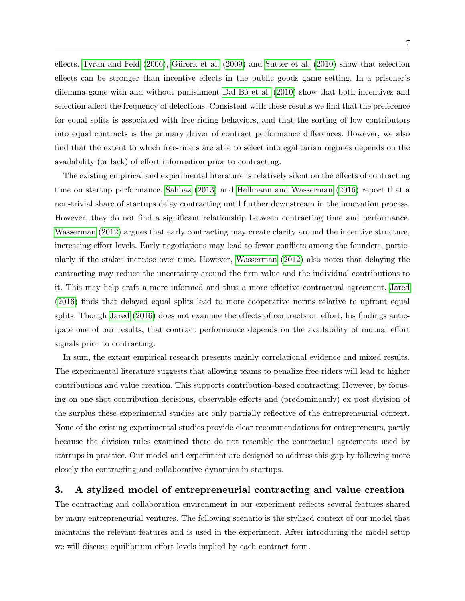effects. [Tyran and Feld](#page-33-5)  $(2006)$ , Gürerk et al.  $(2009)$  and [Sutter et al.](#page-33-6)  $(2010)$  show that selection effects can be stronger than incentive effects in the public goods game setting. In a prisoner's dilemma game with and without punishment Dal B<sub>o</sub> et al. [\(2010\)](#page-31-12) show that both incentives and selection affect the frequency of defections. Consistent with these results we find that the preference for equal splits is associated with free-riding behaviors, and that the sorting of low contributors into equal contracts is the primary driver of contract performance differences. However, we also find that the extent to which free-riders are able to select into egalitarian regimes depends on the availability (or lack) of effort information prior to contracting.

The existing empirical and experimental literature is relatively silent on the effects of contracting time on startup performance. [Sahbaz](#page-33-1) [\(2013\)](#page-33-1) and [Hellmann and Wasserman](#page-32-5) [\(2016\)](#page-32-5) report that a non-trivial share of startups delay contracting until further downstream in the innovation process. However, they do not find a significant relationship between contracting time and performance. [Wasserman](#page-33-0) [\(2012\)](#page-33-0) argues that early contracting may create clarity around the incentive structure, increasing effort levels. Early negotiations may lead to fewer conflicts among the founders, particularly if the stakes increase over time. However, [Wasserman](#page-33-0) [\(2012\)](#page-33-0) also notes that delaying the contracting may reduce the uncertainty around the firm value and the individual contributions to it. This may help craft a more informed and thus a more effective contractual agreement. [Jared](#page-32-6) [\(2016\)](#page-32-6) finds that delayed equal splits lead to more cooperative norms relative to upfront equal splits. Though [Jared](#page-32-6) [\(2016\)](#page-32-6) does not examine the effects of contracts on effort, his findings anticipate one of our results, that contract performance depends on the availability of mutual effort signals prior to contracting.

In sum, the extant empirical research presents mainly correlational evidence and mixed results. The experimental literature suggests that allowing teams to penalize free-riders will lead to higher contributions and value creation. This supports contribution-based contracting. However, by focusing on one-shot contribution decisions, observable efforts and (predominantly) ex post division of the surplus these experimental studies are only partially reflective of the entrepreneurial context. None of the existing experimental studies provide clear recommendations for entrepreneurs, partly because the division rules examined there do not resemble the contractual agreements used by startups in practice. Our model and experiment are designed to address this gap by following more closely the contracting and collaborative dynamics in startups.

# 3. A stylized model of entrepreneurial contracting and value creation

The contracting and collaboration environment in our experiment reflects several features shared by many entrepreneurial ventures. The following scenario is the stylized context of our model that maintains the relevant features and is used in the experiment. After introducing the model setup we will discuss equilibrium effort levels implied by each contract form.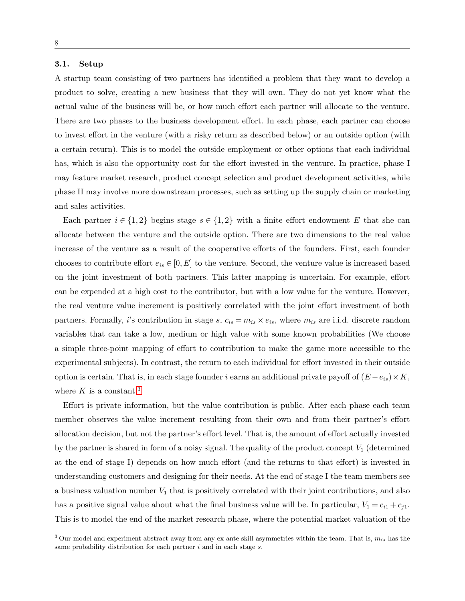#### 3.1. Setup

A startup team consisting of two partners has identified a problem that they want to develop a product to solve, creating a new business that they will own. They do not yet know what the actual value of the business will be, or how much effort each partner will allocate to the venture. There are two phases to the business development effort. In each phase, each partner can choose to invest effort in the venture (with a risky return as described below) or an outside option (with a certain return). This is to model the outside employment or other options that each individual has, which is also the opportunity cost for the effort invested in the venture. In practice, phase I may feature market research, product concept selection and product development activities, while phase II may involve more downstream processes, such as setting up the supply chain or marketing and sales activities.

Each partner  $i \in \{1,2\}$  begins stage  $s \in \{1,2\}$  with a finite effort endowment E that she can allocate between the venture and the outside option. There are two dimensions to the real value increase of the venture as a result of the cooperative efforts of the founders. First, each founder chooses to contribute effort  $e_{is} \in [0, E]$  to the venture. Second, the venture value is increased based on the joint investment of both partners. This latter mapping is uncertain. For example, effort can be expended at a high cost to the contributor, but with a low value for the venture. However, the real venture value increment is positively correlated with the joint effort investment of both partners. Formally, *i*'s contribution in stage *s*,  $c_{is} = m_{is} \times e_{is}$ , where  $m_{is}$  are i.i.d. discrete random variables that can take a low, medium or high value with some known probabilities (We choose a simple three-point mapping of effort to contribution to make the game more accessible to the experimental subjects). In contrast, the return to each individual for effort invested in their outside option is certain. That is, in each stage founder i earns an additional private payoff of  $(E - e_{is}) \times K$ , where  $K$  is a constant.<sup>[3](#page-7-0)</sup>

Effort is private information, but the value contribution is public. After each phase each team member observes the value increment resulting from their own and from their partner's effort allocation decision, but not the partner's effort level. That is, the amount of effort actually invested by the partner is shared in form of a noisy signal. The quality of the product concept  $V_1$  (determined at the end of stage I) depends on how much effort (and the returns to that effort) is invested in understanding customers and designing for their needs. At the end of stage I the team members see a business valuation number  $V_1$  that is positively correlated with their joint contributions, and also has a positive signal value about what the final business value will be. In particular,  $V_1 = c_{i1} + c_{j1}$ . This is to model the end of the market research phase, where the potential market valuation of the

<span id="page-7-0"></span> $3$  Our model and experiment abstract away from any ex ante skill asymmetries within the team. That is,  $m_{is}$  has the same probability distribution for each partner  $i$  and in each stage  $s$ .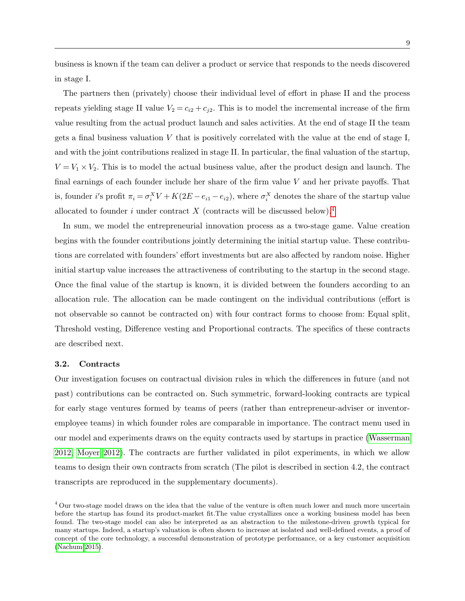business is known if the team can deliver a product or service that responds to the needs discovered in stage I.

The partners then (privately) choose their individual level of effort in phase II and the process repeats yielding stage II value  $V_2 = c_{i2} + c_{i2}$ . This is to model the incremental increase of the firm value resulting from the actual product launch and sales activities. At the end of stage II the team gets a final business valuation  $V$  that is positively correlated with the value at the end of stage I, and with the joint contributions realized in stage II. In particular, the final valuation of the startup,  $V = V_1 \times V_2$ . This is to model the actual business value, after the product design and launch. The final earnings of each founder include her share of the firm value  $V$  and her private payoffs. That is, founder i's profit  $\pi_i = \sigma_i^X V + K(2E - e_{i1} - e_{i2})$ , where  $\sigma_i^X$  denotes the share of the startup value allocated to founder i under contract X (contracts will be discussed below).<sup>[4](#page-8-0)</sup>

In sum, we model the entrepreneurial innovation process as a two-stage game. Value creation begins with the founder contributions jointly determining the initial startup value. These contributions are correlated with founders' effort investments but are also affected by random noise. Higher initial startup value increases the attractiveness of contributing to the startup in the second stage. Once the final value of the startup is known, it is divided between the founders according to an allocation rule. The allocation can be made contingent on the individual contributions (effort is not observable so cannot be contracted on) with four contract forms to choose from: Equal split, Threshold vesting, Difference vesting and Proportional contracts. The specifics of these contracts are described next.

#### 3.2. Contracts

Our investigation focuses on contractual division rules in which the differences in future (and not past) contributions can be contracted on. Such symmetric, forward-looking contracts are typical for early stage ventures formed by teams of peers (rather than entrepreneur-adviser or inventoremployee teams) in which founder roles are comparable in importance. The contract menu used in our model and experiments draws on the equity contracts used by startups in practice [\(Wasserman](#page-33-0) [2012,](#page-33-0) [Moyer 2012\)](#page-32-0). The contracts are further validated in pilot experiments, in which we allow teams to design their own contracts from scratch (The pilot is described in section 4.2, the contract transcripts are reproduced in the supplementary documents).

<span id="page-8-0"></span><sup>&</sup>lt;sup>4</sup> Our two-stage model draws on the idea that the value of the venture is often much lower and much more uncertain before the startup has found its product-market fit.The value crystallizes once a working business model has been found. The two-stage model can also be interpreted as an abstraction to the milestone-driven growth typical for many startups. Indeed, a startup's valuation is often shown to increase at isolated and well-defined events, a proof of concept of the core technology, a successful demonstration of prototype performance, or a key customer acquisition [\(Nachum 2015\)](#page-32-11).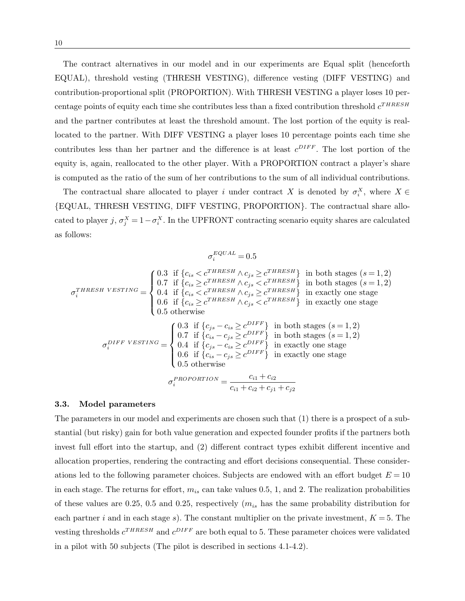The contract alternatives in our model and in our experiments are Equal split (henceforth EQUAL), threshold vesting (THRESH VESTING), difference vesting (DIFF VESTING) and contribution-proportional split (PROPORTION). With THRESH VESTING a player loses 10 percentage points of equity each time she contributes less than a fixed contribution threshold  $c^{THRESH}$ and the partner contributes at least the threshold amount. The lost portion of the equity is reallocated to the partner. With DIFF VESTING a player loses 10 percentage points each time she contributes less than her partner and the difference is at least  $c^{DIFF}$ . The lost portion of the equity is, again, reallocated to the other player. With a PROPORTION contract a player's share is computed as the ratio of the sum of her contributions to the sum of all individual contributions.

The contractual share allocated to player i under contract X is denoted by  $\sigma_i^X$ , where  $X \in$ {EQUAL, THRESH VESTING, DIFF VESTING, PROPORTION}. The contractual share allocated to player j,  $\sigma_j^X = 1 - \sigma_i^X$ . In the UPFRONT contracting scenario equity shares are calculated as follows:

$$
\sigma_i^{EQUAL}=0.5
$$

$$
\sigma_i^{THRESH\ VESTING} = \begin{cases}\n0.3 & \text{if } \{c_{is} < c^{THRESH} \land c_{js} \geq c^{THRESH} \} \text{ in both stages } (s=1,2) \\
0.7 & \text{if } \{c_{is} \geq c^{THRESH} \land c_{js} < c^{THRESH} \} \text{ in both stages } (s=1,2) \\
0.4 & \text{if } \{c_{is} < c^{THRESH} \land c_{js} \geq c^{THRESH} \} \text{ in exactly one stage } \\
0.6 & \text{if } \{c_{is} \geq c^{THRESH} \land c_{js} < c^{THRESH} \} \text{ in exactly one stage } \\
0.5 & \text{otherwise}\n\end{cases}
$$
\n
$$
\sigma_i^{DIFF \ VESTING} = \begin{cases}\n0.3 & \text{if } \{c_{is} < c^{THRESH} \land c_{js} < c^{THRESH} \} \text{ in both stages } (s=1,2) \\
0.7 & \text{if } \{c_{is} - c_{is} \geq c^{DIFF} \} \text{ in both stages } (s=1,2) \\
0.7 & \text{if } \{c_{is} - c_{js} \geq c^{DIFF} \} \text{ in both stages } (s=1,2) \\
0.4 & \text{if } \{c_{js} - c_{is} \geq c^{DIFF} \} \text{ in exactly one stage } \\
0.6 & \text{if } \{c_{is} - c_{js} \geq c^{DIFF} \} \text{ in exactly one stage } \\
0.5 & \text{otherwise}\n\end{cases}
$$
\n
$$
\sigma_i^{PROPORTION} = \frac{c_{i1} + c_{i2}}{c_{i1} + c_{i2} + c_{j1} + c_{j2}}
$$

#### 3.3. Model parameters

The parameters in our model and experiments are chosen such that (1) there is a prospect of a substantial (but risky) gain for both value generation and expected founder profits if the partners both invest full effort into the startup, and (2) different contract types exhibit different incentive and allocation properties, rendering the contracting and effort decisions consequential. These considerations led to the following parameter choices. Subjects are endowed with an effort budget  $E = 10$ in each stage. The returns for effort,  $m_{is}$  can take values 0.5, 1, and 2. The realization probabilities of these values are 0.25, 0.5 and 0.25, respectively  $(m_{is}$  has the same probability distribution for each partner i and in each stage s). The constant multiplier on the private investment,  $K = 5$ . The vesting thresholds  $c^{THRESH}$  and  $c^{DIFF}$  are both equal to 5. These parameter choices were validated in a pilot with 50 subjects (The pilot is described in sections 4.1-4.2).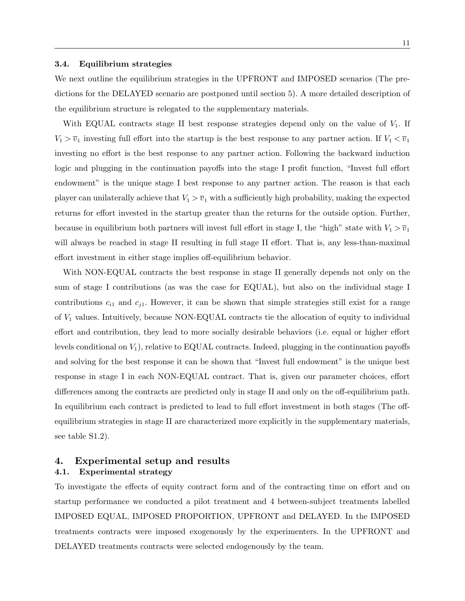#### 3.4. Equilibrium strategies

We next outline the equilibrium strategies in the UPFRONT and IMPOSED scenarios (The predictions for the DELAYED scenario are postponed until section 5). A more detailed description of the equilibrium structure is relegated to the supplementary materials.

With EQUAL contracts stage II best response strategies depend only on the value of  $V_1$ . If  $V_1 > \overline{v}_1$  investing full effort into the startup is the best response to any partner action. If  $V_1 < \overline{v}_1$ investing no effort is the best response to any partner action. Following the backward induction logic and plugging in the continuation payoffs into the stage I profit function, "Invest full effort endowment" is the unique stage I best response to any partner action. The reason is that each player can unilaterally achieve that  $V_1 > \overline{v}_1$  with a sufficiently high probability, making the expected returns for effort invested in the startup greater than the returns for the outside option. Further, because in equilibrium both partners will invest full effort in stage I, the "high" state with  $V_1 > \overline{v}_1$ will always be reached in stage II resulting in full stage II effort. That is, any less-than-maximal effort investment in either stage implies off-equilibrium behavior.

With NON-EQUAL contracts the best response in stage II generally depends not only on the sum of stage I contributions (as was the case for EQUAL), but also on the individual stage I contributions  $c_{i1}$  and  $c_{j1}$ . However, it can be shown that simple strategies still exist for a range of  $V_1$  values. Intuitively, because NON-EQUAL contracts tie the allocation of equity to individual effort and contribution, they lead to more socially desirable behaviors (i.e. equal or higher effort levels conditional on  $V_1$ ), relative to EQUAL contracts. Indeed, plugging in the continuation payoffs and solving for the best response it can be shown that "Invest full endowment" is the unique best response in stage I in each NON-EQUAL contract. That is, given our parameter choices, effort differences among the contracts are predicted only in stage II and only on the off-equilibrium path. In equilibrium each contract is predicted to lead to full effort investment in both stages (The offequilibrium strategies in stage II are characterized more explicitly in the supplementary materials, see table S1.2).

# 4. Experimental setup and results 4.1. Experimental strategy

To investigate the effects of equity contract form and of the contracting time on effort and on startup performance we conducted a pilot treatment and 4 between-subject treatments labelled IMPOSED EQUAL, IMPOSED PROPORTION, UPFRONT and DELAYED. In the IMPOSED treatments contracts were imposed exogenously by the experimenters. In the UPFRONT and DELAYED treatments contracts were selected endogenously by the team.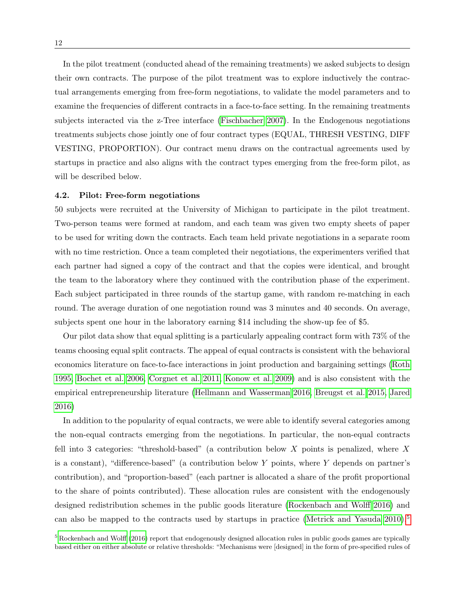In the pilot treatment (conducted ahead of the remaining treatments) we asked subjects to design their own contracts. The purpose of the pilot treatment was to explore inductively the contractual arrangements emerging from free-form negotiations, to validate the model parameters and to examine the frequencies of different contracts in a face-to-face setting. In the remaining treatments subjects interacted via the z-Tree interface [\(Fischbacher 2007\)](#page-31-9). In the Endogenous negotiations treatments subjects chose jointly one of four contract types (EQUAL, THRESH VESTING, DIFF VESTING, PROPORTION). Our contract menu draws on the contractual agreements used by startups in practice and also aligns with the contract types emerging from the free-form pilot, as will be described below.

#### 4.2. Pilot: Free-form negotiations

50 subjects were recruited at the University of Michigan to participate in the pilot treatment. Two-person teams were formed at random, and each team was given two empty sheets of paper to be used for writing down the contracts. Each team held private negotiations in a separate room with no time restriction. Once a team completed their negotiations, the experimenters verified that each partner had signed a copy of the contract and that the copies were identical, and brought the team to the laboratory where they continued with the contribution phase of the experiment. Each subject participated in three rounds of the startup game, with random re-matching in each round. The average duration of one negotiation round was 3 minutes and 40 seconds. On average, subjects spent one hour in the laboratory earning \$14 including the show-up fee of \$5.

Our pilot data show that equal splitting is a particularly appealing contract form with 73% of the teams choosing equal split contracts. The appeal of equal contracts is consistent with the behavioral economics literature on face-to-face interactions in joint production and bargaining settings [\(Roth](#page-33-7) [1995,](#page-33-7) [Bochet et al. 2006,](#page-30-9) [Corgnet et al. 2011,](#page-31-11) [Konow et al. 2009\)](#page-32-12) and is also consistent with the empirical entrepreneurship literature [\(Hellmann and Wasserman 2016,](#page-32-5) [Breugst et al. 2015,](#page-30-3) [Jared](#page-32-6) [2016\)](#page-32-6)

In addition to the popularity of equal contracts, we were able to identify several categories among the non-equal contracts emerging from the negotiations. In particular, the non-equal contracts fell into 3 categories: "threshold-based" (a contribution below X points is penalized, where X is a constant), "difference-based" (a contribution below  $Y$  points, where  $Y$  depends on partner's contribution), and "proportion-based" (each partner is allocated a share of the profit proportional to the share of points contributed). These allocation rules are consistent with the endogenously designed redistribution schemes in the public goods literature [\(Rockenbach and Wolff 2016\)](#page-33-8) and can also be mapped to the contracts used by startups in practice [\(Metrick and Yasuda 2010\)](#page-32-1).<sup>[5](#page-11-0)</sup>

<span id="page-11-0"></span><sup>5</sup> [Rockenbach and Wolff](#page-33-8) [\(2016\)](#page-33-8) report that endogenously designed allocation rules in public goods games are typically based either on either absolute or relative thresholds: "Mechanisms were [designed] in the form of pre-specified rules of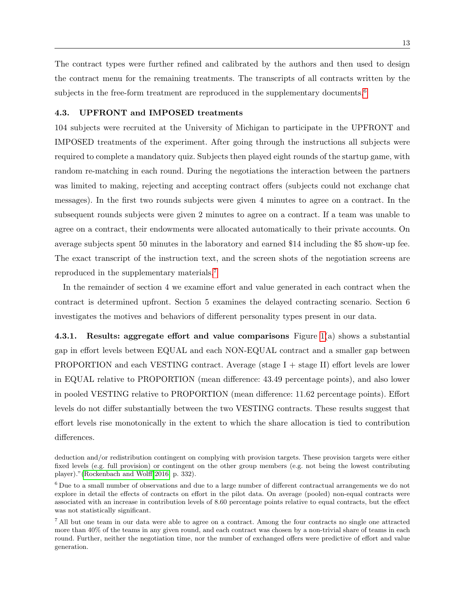The contract types were further refined and calibrated by the authors and then used to design the contract menu for the remaining treatments. The transcripts of all contracts written by the subjects in the free-form treatment are reproduced in the supplementary documents.<sup>[6](#page-12-0)</sup>

## 4.3. UPFRONT and IMPOSED treatments

104 subjects were recruited at the University of Michigan to participate in the UPFRONT and IMPOSED treatments of the experiment. After going through the instructions all subjects were required to complete a mandatory quiz. Subjects then played eight rounds of the startup game, with random re-matching in each round. During the negotiations the interaction between the partners was limited to making, rejecting and accepting contract offers (subjects could not exchange chat messages). In the first two rounds subjects were given 4 minutes to agree on a contract. In the subsequent rounds subjects were given 2 minutes to agree on a contract. If a team was unable to agree on a contract, their endowments were allocated automatically to their private accounts. On average subjects spent 50 minutes in the laboratory and earned \$14 including the \$5 show-up fee. The exact transcript of the instruction text, and the screen shots of the negotiation screens are reproduced in the supplementary materials.[7](#page-12-1)

In the remainder of section 4 we examine effort and value generated in each contract when the contract is determined upfront. Section 5 examines the delayed contracting scenario. Section 6 investigates the motives and behaviors of different personality types present in our data.

4.3.1. Results: aggregate effort and value comparisons Figure [1\(](#page-13-0)a) shows a substantial gap in effort levels between EQUAL and each NON-EQUAL contract and a smaller gap between PROPORTION and each VESTING contract. Average (stage  $I + stage II$ ) effort levels are lower in EQUAL relative to PROPORTION (mean difference: 43.49 percentage points), and also lower in pooled VESTING relative to PROPORTION (mean difference: 11.62 percentage points). Effort levels do not differ substantially between the two VESTING contracts. These results suggest that effort levels rise monotonically in the extent to which the share allocation is tied to contribution differences.

deduction and/or redistribution contingent on complying with provision targets. These provision targets were either fixed levels (e.g. full provision) or contingent on the other group members (e.g. not being the lowest contributing player)."[\(Rockenbach and Wolff 2016,](#page-33-8) p. 332).

<span id="page-12-0"></span><sup>6</sup> Due to a small number of observations and due to a large number of different contractual arrangements we do not explore in detail the effects of contracts on effort in the pilot data. On average (pooled) non-equal contracts were associated with an increase in contribution levels of 8.60 percentage points relative to equal contracts, but the effect was not statistically significant.

<span id="page-12-1"></span><sup>&</sup>lt;sup>7</sup> All but one team in our data were able to agree on a contract. Among the four contracts no single one attracted more than 40% of the teams in any given round, and each contract was chosen by a non-trivial share of teams in each round. Further, neither the negotiation time, nor the number of exchanged offers were predictive of effort and value generation.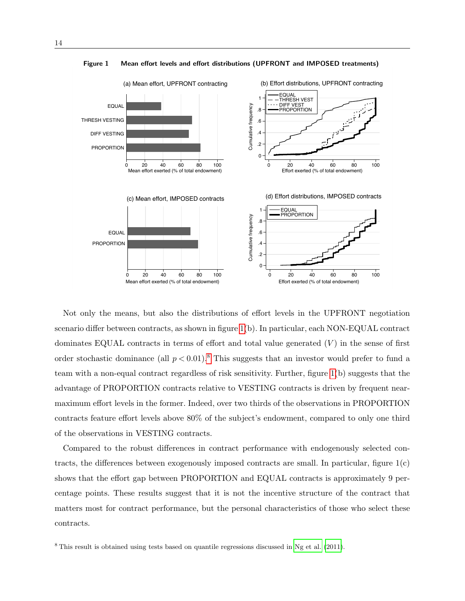

<span id="page-13-0"></span>Figure 1 Mean effort levels and effort distributions (UPFRONT and IMPOSED treatments)

Not only the means, but also the distributions of effort levels in the UPFRONT negotiation scenario differ between contracts, as shown in figure [1\(](#page-13-0)b). In particular, each NON-EQUAL contract dominates EQUAL contracts in terms of effort and total value generated  $(V)$  in the sense of first order stochastic dominance (all  $p < 0.01$ ).<sup>[8](#page-13-1)</sup> This suggests that an investor would prefer to fund a team with a non-equal contract regardless of risk sensitivity. Further, figure [1\(](#page-13-0)b) suggests that the advantage of PROPORTION contracts relative to VESTING contracts is driven by frequent nearmaximum effort levels in the former. Indeed, over two thirds of the observations in PROPORTION contracts feature effort levels above 80% of the subject's endowment, compared to only one third of the observations in VESTING contracts.

Compared to the robust differences in contract performance with endogenously selected contracts, the differences between exogenously imposed contracts are small. In particular, figure 1(c) shows that the effort gap between PROPORTION and EQUAL contracts is approximately 9 percentage points. These results suggest that it is not the incentive structure of the contract that matters most for contract performance, but the personal characteristics of those who select these contracts.

<span id="page-13-1"></span><sup>8</sup> This result is obtained using tests based on quantile regressions discussed in [Ng et al.](#page-32-13) [\(2011\)](#page-32-13).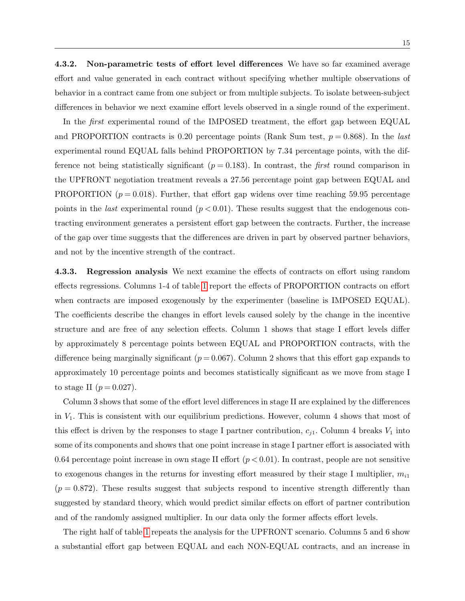4.3.2. Non-parametric tests of effort level differences We have so far examined average effort and value generated in each contract without specifying whether multiple observations of behavior in a contract came from one subject or from multiple subjects. To isolate between-subject differences in behavior we next examine effort levels observed in a single round of the experiment.

In the *first* experimental round of the IMPOSED treatment, the effort gap between EQUAL and PROPORTION contracts is 0.20 percentage points (Rank Sum test,  $p = 0.868$ ). In the *last* experimental round EQUAL falls behind PROPORTION by 7.34 percentage points, with the difference not being statistically significant ( $p = 0.183$ ). In contrast, the *first* round comparison in the UPFRONT negotiation treatment reveals a 27.56 percentage point gap between EQUAL and PROPORTION  $(p = 0.018)$ . Further, that effort gap widens over time reaching 59.95 percentage points in the *last* experimental round  $(p < 0.01)$ . These results suggest that the endogenous contracting environment generates a persistent effort gap between the contracts. Further, the increase of the gap over time suggests that the differences are driven in part by observed partner behaviors, and not by the incentive strength of the contract.

4.3.3. Regression analysis We next examine the effects of contracts on effort using random effects regressions. Columns 1-4 of table [1](#page-15-0) report the effects of PROPORTION contracts on effort when contracts are imposed exogenously by the experimenter (baseline is IMPOSED EQUAL). The coefficients describe the changes in effort levels caused solely by the change in the incentive structure and are free of any selection effects. Column 1 shows that stage I effort levels differ by approximately 8 percentage points between EQUAL and PROPORTION contracts, with the difference being marginally significant ( $p = 0.067$ ). Column 2 shows that this effort gap expands to approximately 10 percentage points and becomes statistically significant as we move from stage I to stage II  $(p=0.027)$ .

Column 3 shows that some of the effort level differences in stage II are explained by the differences in  $V_1$ . This is consistent with our equilibrium predictions. However, column 4 shows that most of this effect is driven by the responses to stage I partner contribution,  $c_{j1}$ . Column 4 breaks  $V_1$  into some of its components and shows that one point increase in stage I partner effort is associated with 0.64 percentage point increase in own stage II effort  $(p < 0.01)$ . In contrast, people are not sensitive to exogenous changes in the returns for investing effort measured by their stage I multiplier,  $m_{i1}$  $(p = 0.872)$ . These results suggest that subjects respond to incentive strength differently than suggested by standard theory, which would predict similar effects on effort of partner contribution and of the randomly assigned multiplier. In our data only the former affects effort levels.

The right half of table [1](#page-15-0) repeats the analysis for the UPFRONT scenario. Columns 5 and 6 show a substantial effort gap between EQUAL and each NON-EQUAL contracts, and an increase in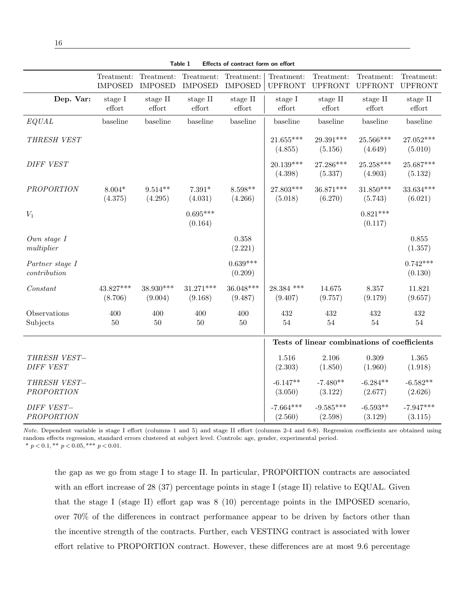| ٠<br>I<br>٠ |
|-------------|
| ٦<br>۰.     |

|                                 | Treatment:<br><b>IMPOSED</b> | Treatment:<br><b>IMPOSED</b> | Treatment:<br><b>IMPOSED</b> | Treatment:<br><b>IMPOSED</b> | Treatment:<br><b>UPFRONT</b>                 | Treatment:<br><b>UPFRONT</b> | Treatment:<br><b>UPFRONT</b> | Treatment:<br><b>UPFRONT</b> |
|---------------------------------|------------------------------|------------------------------|------------------------------|------------------------------|----------------------------------------------|------------------------------|------------------------------|------------------------------|
| Dep. Var:                       | stage I<br>effort            | stage II<br>effort           | stage II<br>effort           | stage II<br>effort           | stage I<br>effort                            | stage II<br>effort           | stage II<br>effort           | stage II<br>effort           |
| EQUAL                           | baseline                     | baseline                     | baseline                     | baseline                     | baseline                                     | baseline                     | baseline                     | baseline                     |
| THRESH VEST                     |                              |                              |                              |                              | $21.655***$<br>(4.855)                       | 29.391***<br>(5.156)         | 25.566***<br>(4.649)         | 27.052***<br>(5.010)         |
| DIFF VEST                       |                              |                              |                              |                              | $20.139***$<br>(4.398)                       | 27.286***<br>(5.337)         | $25.258***$<br>(4.903)       | 25.687***<br>(5.132)         |
| PROPORTION                      | $8.004*$<br>(4.375)          | $9.514**$<br>(4.295)         | $7.391^{\ast}$<br>(4.031)    | $8.598**$<br>(4.266)         | 27.803***<br>(5.018)                         | 36.871***<br>(6.270)         | $31.850***$<br>(5.743)       | 33.634***<br>(6.021)         |
| $V_1$                           |                              |                              | $0.695***$<br>(0.164)        |                              |                                              |                              | $0.821***$<br>(0.117)        |                              |
| Own stage I<br>multiplier       |                              |                              |                              | 0.358<br>(2.221)             |                                              |                              |                              | 0.855<br>(1.357)             |
| Partner stage I<br>contribution |                              |                              |                              | $0.639***$<br>(0.209)        |                                              |                              |                              | $0.742***$<br>(0.130)        |
| Constant                        | 43.827***<br>(8.706)         | 38.930***<br>(9.004)         | $31.271***$<br>(9.168)       | $36.048***$<br>(9.487)       | $28.384$ ***<br>(9.407)                      | 14.675<br>(9.757)            | 8.357<br>(9.179)             | 11.821<br>(9.657)            |
| Observations<br>Subjects        | 400<br>$50\,$                | 400<br>50                    | 400<br>$50\,$                | 400<br>50                    | 432<br>54                                    | 432<br>54                    | 432<br>54                    | 432<br>$54\,$                |
|                                 |                              |                              |                              |                              | Tests of linear combinations of coefficients |                              |                              |                              |
| THRESH VEST-<br>DIFF VEST       |                              |                              |                              |                              | 1.516<br>(2.303)                             | 2.106<br>(1.850)             | 0.309<br>(1.960)             | 1.365<br>(1.918)             |
| THRESH VEST-<br>PROPORTION      |                              |                              |                              |                              | $-6.147**$<br>(3.050)                        | $-7.480**$<br>(3.122)        | $-6.284**$<br>(2.677)        | $-6.582**$<br>(2.626)        |
| DIFF VEST-<br>PROPORTION        |                              |                              |                              |                              | $-7.664***$<br>(2.560)                       | $-9.585***$<br>(2.598)       | $-6.593**$<br>(3.129)        | $-7.947***$<br>(3.115)       |

<span id="page-15-0"></span>Table 1 Effects of contract form on effort

Note. Dependent variable is stage I effort (columns 1 and 5) and stage II effort (columns 2-4 and 6-8). Regression coefficients are obtained using random effects regression, standard errors clustered at subject level. Controls: age, gender, experimental period. \*  $p < 0.1$ , \*\*  $p < 0.05$ , \*\*\*  $p < 0.01$ .

the gap as we go from stage I to stage II. In particular, PROPORTION contracts are associated with an effort increase of 28 (37) percentage points in stage I (stage II) relative to EQUAL. Given that the stage I (stage II) effort gap was 8 (10) percentage points in the IMPOSED scenario, over 70% of the differences in contract performance appear to be driven by factors other than the incentive strength of the contracts. Further, each VESTING contract is associated with lower effort relative to PROPORTION contract. However, these differences are at most 9.6 percentage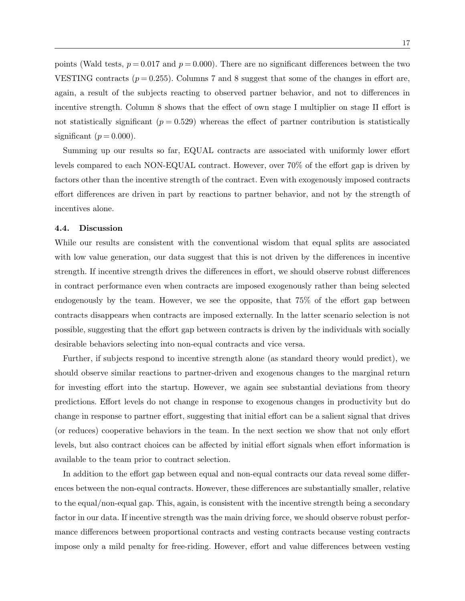points (Wald tests,  $p = 0.017$  and  $p = 0.000$ ). There are no significant differences between the two VESTING contracts ( $p = 0.255$ ). Columns 7 and 8 suggest that some of the changes in effort are, again, a result of the subjects reacting to observed partner behavior, and not to differences in incentive strength. Column 8 shows that the effect of own stage I multiplier on stage II effort is not statistically significant  $(p = 0.529)$  whereas the effect of partner contribution is statistically significant  $(p = 0.000)$ .

Summing up our results so far, EQUAL contracts are associated with uniformly lower effort levels compared to each NON-EQUAL contract. However, over 70% of the effort gap is driven by factors other than the incentive strength of the contract. Even with exogenously imposed contracts effort differences are driven in part by reactions to partner behavior, and not by the strength of incentives alone.

#### 4.4. Discussion

While our results are consistent with the conventional wisdom that equal splits are associated with low value generation, our data suggest that this is not driven by the differences in incentive strength. If incentive strength drives the differences in effort, we should observe robust differences in contract performance even when contracts are imposed exogenously rather than being selected endogenously by the team. However, we see the opposite, that 75% of the effort gap between contracts disappears when contracts are imposed externally. In the latter scenario selection is not possible, suggesting that the effort gap between contracts is driven by the individuals with socially desirable behaviors selecting into non-equal contracts and vice versa.

Further, if subjects respond to incentive strength alone (as standard theory would predict), we should observe similar reactions to partner-driven and exogenous changes to the marginal return for investing effort into the startup. However, we again see substantial deviations from theory predictions. Effort levels do not change in response to exogenous changes in productivity but do change in response to partner effort, suggesting that initial effort can be a salient signal that drives (or reduces) cooperative behaviors in the team. In the next section we show that not only effort levels, but also contract choices can be affected by initial effort signals when effort information is available to the team prior to contract selection.

In addition to the effort gap between equal and non-equal contracts our data reveal some differences between the non-equal contracts. However, these differences are substantially smaller, relative to the equal/non-equal gap. This, again, is consistent with the incentive strength being a secondary factor in our data. If incentive strength was the main driving force, we should observe robust performance differences between proportional contracts and vesting contracts because vesting contracts impose only a mild penalty for free-riding. However, effort and value differences between vesting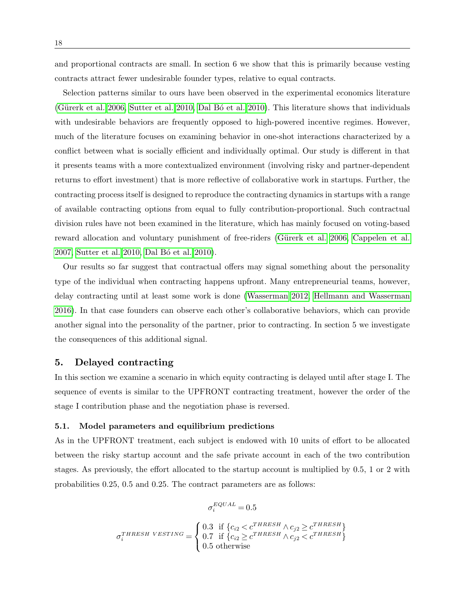and proportional contracts are small. In section 6 we show that this is primarily because vesting contracts attract fewer undesirable founder types, relative to equal contracts.

Selection patterns similar to ours have been observed in the experimental economics literature (Gürerk et al. 2006, [Sutter et al. 2010,](#page-33-6) Dal Bó et al. 2010). This literature shows that individuals with undesirable behaviors are frequently opposed to high-powered incentive regimes. However, much of the literature focuses on examining behavior in one-shot interactions characterized by a conflict between what is socially efficient and individually optimal. Our study is different in that it presents teams with a more contextualized environment (involving risky and partner-dependent returns to effort investment) that is more reflective of collaborative work in startups. Further, the contracting process itself is designed to reproduce the contracting dynamics in startups with a range of available contracting options from equal to fully contribution-proportional. Such contractual division rules have not been examined in the literature, which has mainly focused on voting-based reward allocation and voluntary punishment of free-riders (Gürerk et al. 2006, [Cappelen et al.](#page-30-4) [2007,](#page-30-4) [Sutter et al. 2010,](#page-33-6) Dal Bó et al. 2010).

Our results so far suggest that contractual offers may signal something about the personality type of the individual when contracting happens upfront. Many entrepreneurial teams, however, delay contracting until at least some work is done [\(Wasserman 2012,](#page-33-0) [Hellmann and Wasserman](#page-32-5) [2016\)](#page-32-5). In that case founders can observe each other's collaborative behaviors, which can provide another signal into the personality of the partner, prior to contracting. In section 5 we investigate the consequences of this additional signal.

# 5. Delayed contracting

In this section we examine a scenario in which equity contracting is delayed until after stage I. The sequence of events is similar to the UPFRONT contracting treatment, however the order of the stage I contribution phase and the negotiation phase is reversed.

#### 5.1. Model parameters and equilibrium predictions

As in the UPFRONT treatment, each subject is endowed with 10 units of effort to be allocated between the risky startup account and the safe private account in each of the two contribution stages. As previously, the effort allocated to the startup account is multiplied by 0.5, 1 or 2 with probabilities 0.25, 0.5 and 0.25. The contract parameters are as follows:

$$
\sigma_i^{EQUAL} = 0.5
$$
\n
$$
\sigma_i^{THRESH\ VESTING} = \begin{cases}\n0.3 & \text{if } \{c_{i2} < c^{THRESH} \land c_{j2} \geq c^{THRESH} \} \\
0.7 & \text{if } \{c_{i2} \geq c^{THRESH} \land c_{j2} < c^{THRESH} \} \\
0.5 & \text{otherwise}\n\end{cases}
$$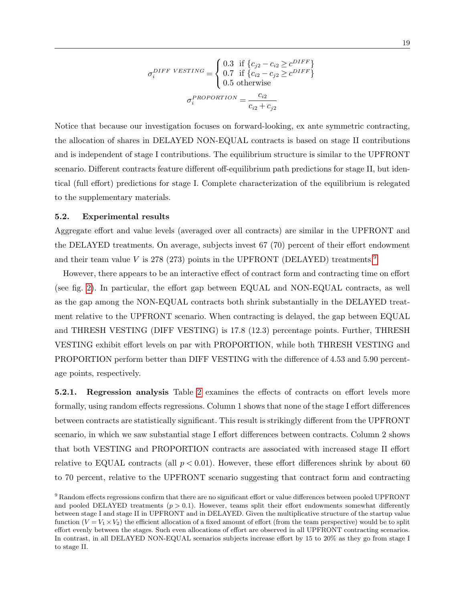$$
\sigma_i^{DIFF\ VESTING} = \begin{cases}\n0.3 & \text{if } \{c_{j2} - c_{i2} \ge c^{DIFF}\} \\
0.7 & \text{if } \{c_{i2} - c_{j2} \ge c^{DIFF}\} \\
0.5 & \text{otherwise}\n\end{cases}
$$
\n
$$
\sigma_i^{PROPORTION} = \frac{c_{i2}}{c_{i2} + c_{j2}}
$$

Notice that because our investigation focuses on forward-looking, ex ante symmetric contracting, the allocation of shares in DELAYED NON-EQUAL contracts is based on stage II contributions and is independent of stage I contributions. The equilibrium structure is similar to the UPFRONT scenario. Different contracts feature different off-equilibrium path predictions for stage II, but identical (full effort) predictions for stage I. Complete characterization of the equilibrium is relegated to the supplementary materials.

#### 5.2. Experimental results

Aggregate effort and value levels (averaged over all contracts) are similar in the UPFRONT and the DELAYED treatments. On average, subjects invest 67 (70) percent of their effort endowment and their team value V is 278 (273) points in the UPFRONT (DELAYED) treatments.<sup>[9](#page-18-0)</sup>

However, there appears to be an interactive effect of contract form and contracting time on effort (see fig. [2\)](#page-19-0). In particular, the effort gap between EQUAL and NON-EQUAL contracts, as well as the gap among the NON-EQUAL contracts both shrink substantially in the DELAYED treatment relative to the UPFRONT scenario. When contracting is delayed, the gap between EQUAL and THRESH VESTING (DIFF VESTING) is 17.8 (12.3) percentage points. Further, THRESH VESTING exhibit effort levels on par with PROPORTION, while both THRESH VESTING and PROPORTION perform better than DIFF VESTING with the difference of 4.53 and 5.90 percentage points, respectively.

5.2.1. Regression analysis Table [2](#page-20-0) examines the effects of contracts on effort levels more formally, using random effects regressions. Column 1 shows that none of the stage I effort differences between contracts are statistically significant. This result is strikingly different from the UPFRONT scenario, in which we saw substantial stage I effort differences between contracts. Column 2 shows that both VESTING and PROPORTION contracts are associated with increased stage II effort relative to EQUAL contracts (all  $p < 0.01$ ). However, these effort differences shrink by about 60 to 70 percent, relative to the UPFRONT scenario suggesting that contract form and contracting

<span id="page-18-0"></span><sup>9</sup> Random effects regressions confirm that there are no significant effort or value differences between pooled UPFRONT and pooled DELAYED treatments  $(p > 0.1)$ . However, teams split their effort endowments somewhat differently between stage I and stage II in UPFRONT and in DELAYED. Given the multiplicative structure of the startup value function  $(V = V_1 \times V_2)$  the efficient allocation of a fixed amount of effort (from the team perspective) would be to split effort evenly between the stages. Such even allocations of effort are observed in all UPFRONT contracting scenarios. In contrast, in all DELAYED NON-EQUAL scenarios subjects increase effort by 15 to 20% as they go from stage I to stage II.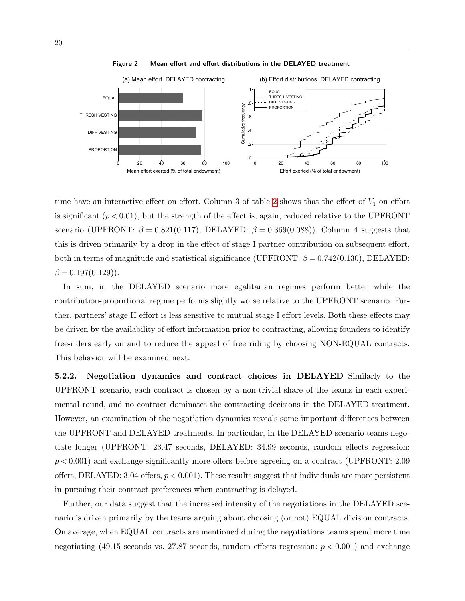

<span id="page-19-0"></span>Figure 2 Mean effort and effort distributions in the DELAYED treatment

time have an interactive effect on effort. Column 3 of table [2](#page-20-0) shows that the effect of  $V_1$  on effort is significant  $(p < 0.01)$ , but the strength of the effect is, again, reduced relative to the UPFRONT scenario (UPFRONT:  $\beta = 0.821(0.117)$ , DELAYED:  $\beta = 0.369(0.088)$ ). Column 4 suggests that this is driven primarily by a drop in the effect of stage I partner contribution on subsequent effort, both in terms of magnitude and statistical significance (UPFRONT:  $\beta = 0.742(0.130)$ , DELAYED:  $\beta = 0.197(0.129)$ .

In sum, in the DELAYED scenario more egalitarian regimes perform better while the contribution-proportional regime performs slightly worse relative to the UPFRONT scenario. Further, partners' stage II effort is less sensitive to mutual stage I effort levels. Both these effects may be driven by the availability of effort information prior to contracting, allowing founders to identify free-riders early on and to reduce the appeal of free riding by choosing NON-EQUAL contracts. This behavior will be examined next.

5.2.2. Negotiation dynamics and contract choices in DELAYED Similarly to the UPFRONT scenario, each contract is chosen by a non-trivial share of the teams in each experimental round, and no contract dominates the contracting decisions in the DELAYED treatment. However, an examination of the negotiation dynamics reveals some important differences between the UPFRONT and DELAYED treatments. In particular, in the DELAYED scenario teams negotiate longer (UPFRONT: 23.47 seconds, DELAYED: 34.99 seconds, random effects regression:  $p < 0.001$ ) and exchange significantly more offers before agreeing on a contract (UPFRONT: 2.09 offers, DELAYED: 3.04 offers,  $p < 0.001$ ). These results suggest that individuals are more persistent in pursuing their contract preferences when contracting is delayed.

Further, our data suggest that the increased intensity of the negotiations in the DELAYED scenario is driven primarily by the teams arguing about choosing (or not) EQUAL division contracts. On average, when EQUAL contracts are mentioned during the negotiations teams spend more time negotiating (49.15 seconds vs. 27.87 seconds, random effects regression:  $p < 0.001$ ) and exchange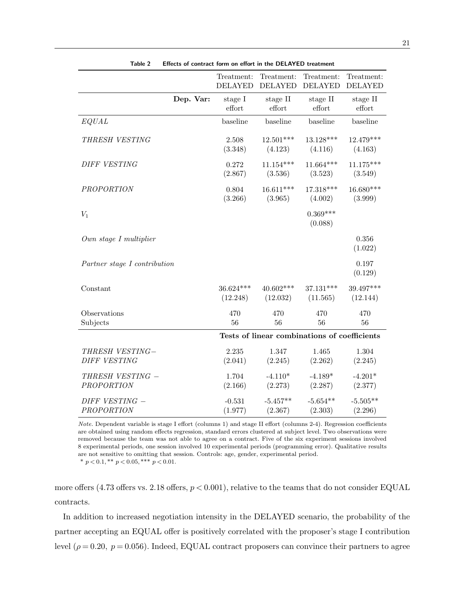|                              | Treatment:              | Treatment:                                   | Treatment:            | Treatment:       |
|------------------------------|-------------------------|----------------------------------------------|-----------------------|------------------|
|                              | <b>DELAYED</b>          | <b>DELAYED</b>                               | <b>DELAYED</b>        | <b>DELAYED</b>   |
| Dep. Var:                    | stage I                 | stage II                                     | stage II              | stage II         |
|                              | $\operatorname{effort}$ | effort                                       | effort                | effort           |
| EQUAL                        | baseline                | baseline                                     | baseline              | baseline         |
| THRESH VESTING               | 2.508                   | $12.501***$                                  | $13.128***$           | 12.479***        |
|                              | (3.348)                 | (4.123)                                      | (4.116)               | (4.163)          |
| DIFF VESTING                 | 0.272                   | $11.154***$                                  | $11.664***$           | $11.175***$      |
|                              | (2.867)                 | (3.536)                                      | (3.523)               | (3.549)          |
| PROPORTION                   | 0.804                   | $16.611***$                                  | 17.318***             | $16.680***$      |
|                              | (3.266)                 | (3.965)                                      | (4.002)               | (3.999)          |
| $V_1$                        |                         |                                              | $0.369***$<br>(0.088) |                  |
| Own stage I multiplier       |                         |                                              |                       | 0.356<br>(1.022) |
| Partner stage I contribution |                         |                                              |                       | 0.197<br>(0.129) |
| Constant                     | $36.624***$             | $40.602***$                                  | $37.131***$           | 39.497***        |
|                              | (12.248)                | (12.032)                                     | (11.565)              | (12.144)         |
| Observations                 | 470                     | 470                                          | 470                   | 470              |
| Subjects                     | 56                      | 56                                           | 56                    | 56               |
|                              |                         | Tests of linear combinations of coefficients |                       |                  |
| THRESH VESTING-              | 2.235                   | 1.347                                        | 1.465                 | 1.304            |
| DIFF VESTING                 | (2.041)                 | (2.245)                                      | (2.262)               | (2.245)          |
| THRESH VESTING -             | 1.704                   | $-4.110*$                                    | $-4.189*$             | $-4.201*$        |
| PROPORTION                   | (2.166)                 | (2.273)                                      | (2.287)               | (2.377)          |
| DIFF VESTING -               | $-0.531$                | $-5.457**$                                   | $-5.654**$            | $-5.505**$       |
| PROPORTION                   | (1.977)                 | (2.367)                                      | (2.303)               | (2.296)          |

<span id="page-20-0"></span>Table 2 Effects of contract form on effort in the DELAYED treatment

Note. Dependent variable is stage I effort (columns 1) and stage II effort (columns 2-4). Regression coefficients are obtained using random effects regression, standard errors clustered at subject level. Two observations were removed because the team was not able to agree on a contract. Five of the six experiment sessions involved 8 experimental periods, one session involved 10 experimental periods (programming error). Qualitative results are not sensitive to omitting that session. Controls: age, gender, experimental period. \*  $p < 0.1$ , \*\*  $p < 0.05$ , \*\*\*  $p < 0.01$ .

more offers (4.73 offers vs. 2.18 offers,  $p < 0.001$ ), relative to the teams that do not consider EQUAL contracts.

In addition to increased negotiation intensity in the DELAYED scenario, the probability of the partner accepting an EQUAL offer is positively correlated with the proposer's stage I contribution level ( $\rho = 0.20$ ,  $p = 0.056$ ). Indeed, EQUAL contract proposers can convince their partners to agree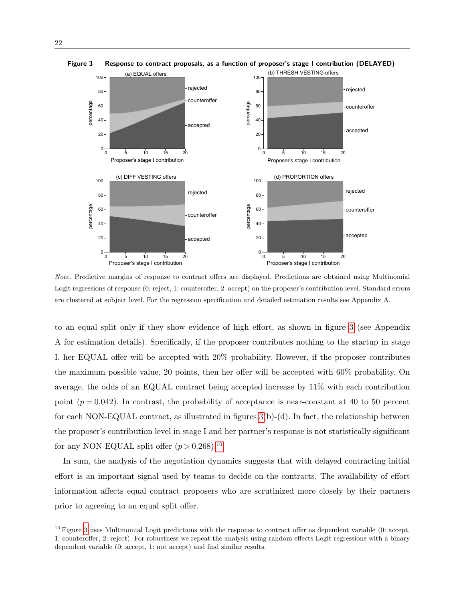<span id="page-21-0"></span>

Figure 3 Response to contract proposals, as a function of proposer's stage I contribution (DELAYED)

Note. Predictive margins of response to contract offers are displayed. Predictions are obtained using Multinomial Logit regressions of response (0: reject, 1: counteroffer, 2: accept) on the proposer's contribution level. Standard errors are clustered at subject level. For the regression specification and detailed estimation results see Appendix A.

to an equal split only if they show evidence of high effort, as shown in figure [3](#page-21-0) (see Appendix A for estimation details). Specifically, if the proposer contributes nothing to the startup in stage I, her EQUAL offer will be accepted with 20% probability. However, if the proposer contributes the maximum possible value, 20 points, then her offer will be accepted with 60% probability. On average, the odds of an EQUAL contract being accepted increase by 11% with each contribution point  $(p = 0.042)$ . In contrast, the probability of acceptance is near-constant at 40 to 50 percent for each NON-EQUAL contract, as illustrated in figures  $3(b)-(d)$ . In fact, the relationship between the proposer's contribution level in stage I and her partner's response is not statistically significant for any NON-EQUAL split offer  $(p > 0.268).^{10}$  $(p > 0.268).^{10}$  $(p > 0.268).^{10}$ 

In sum, the analysis of the negotiation dynamics suggests that with delayed contracting initial effort is an important signal used by teams to decide on the contracts. The availability of effort information affects equal contract proposers who are scrutinized more closely by their partners prior to agreeing to an equal split offer.

<span id="page-21-1"></span> $10$  Figure [3](#page-21-0) uses Multinomial Logit predictions with the response to contract offer as dependent variable (0: accept, 1: counteroffer, 2: reject). For robustness we repeat the analysis using random effects Logit regressions with a binary dependent variable (0: accept, 1: not accept) and find similar results.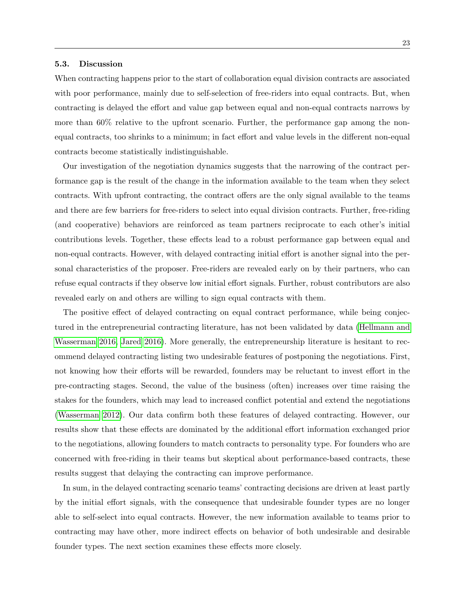#### 5.3. Discussion

When contracting happens prior to the start of collaboration equal division contracts are associated with poor performance, mainly due to self-selection of free-riders into equal contracts. But, when contracting is delayed the effort and value gap between equal and non-equal contracts narrows by more than 60% relative to the upfront scenario. Further, the performance gap among the nonequal contracts, too shrinks to a minimum; in fact effort and value levels in the different non-equal contracts become statistically indistinguishable.

Our investigation of the negotiation dynamics suggests that the narrowing of the contract performance gap is the result of the change in the information available to the team when they select contracts. With upfront contracting, the contract offers are the only signal available to the teams and there are few barriers for free-riders to select into equal division contracts. Further, free-riding (and cooperative) behaviors are reinforced as team partners reciprocate to each other's initial contributions levels. Together, these effects lead to a robust performance gap between equal and non-equal contracts. However, with delayed contracting initial effort is another signal into the personal characteristics of the proposer. Free-riders are revealed early on by their partners, who can refuse equal contracts if they observe low initial effort signals. Further, robust contributors are also revealed early on and others are willing to sign equal contracts with them.

The positive effect of delayed contracting on equal contract performance, while being conjectured in the entrepreneurial contracting literature, has not been validated by data [\(Hellmann and](#page-32-5) [Wasserman 2016,](#page-32-5) [Jared 2016\)](#page-32-6). More generally, the entrepreneurship literature is hesitant to recommend delayed contracting listing two undesirable features of postponing the negotiations. First, not knowing how their efforts will be rewarded, founders may be reluctant to invest effort in the pre-contracting stages. Second, the value of the business (often) increases over time raising the stakes for the founders, which may lead to increased conflict potential and extend the negotiations [\(Wasserman 2012\)](#page-33-0). Our data confirm both these features of delayed contracting. However, our results show that these effects are dominated by the additional effort information exchanged prior to the negotiations, allowing founders to match contracts to personality type. For founders who are concerned with free-riding in their teams but skeptical about performance-based contracts, these results suggest that delaying the contracting can improve performance.

In sum, in the delayed contracting scenario teams' contracting decisions are driven at least partly by the initial effort signals, with the consequence that undesirable founder types are no longer able to self-select into equal contracts. However, the new information available to teams prior to contracting may have other, more indirect effects on behavior of both undesirable and desirable founder types. The next section examines these effects more closely.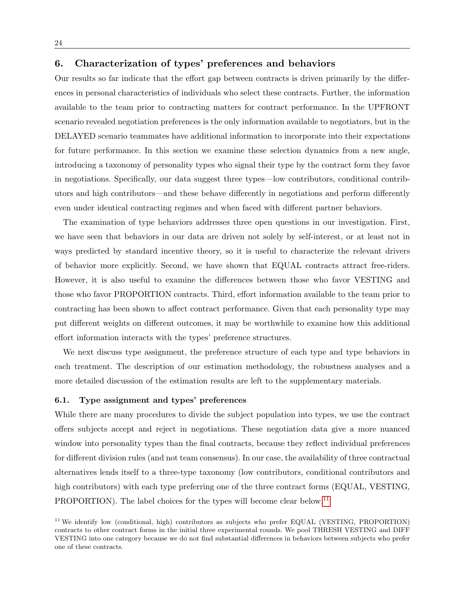# 6. Characterization of types' preferences and behaviors

Our results so far indicate that the effort gap between contracts is driven primarily by the differences in personal characteristics of individuals who select these contracts. Further, the information available to the team prior to contracting matters for contract performance. In the UPFRONT scenario revealed negotiation preferences is the only information available to negotiators, but in the DELAYED scenario teammates have additional information to incorporate into their expectations for future performance. In this section we examine these selection dynamics from a new angle, introducing a taxonomy of personality types who signal their type by the contract form they favor in negotiations. Specifically, our data suggest three types—low contributors, conditional contributors and high contributors—and these behave differently in negotiations and perform differently even under identical contracting regimes and when faced with different partner behaviors.

The examination of type behaviors addresses three open questions in our investigation. First, we have seen that behaviors in our data are driven not solely by self-interest, or at least not in ways predicted by standard incentive theory, so it is useful to characterize the relevant drivers of behavior more explicitly. Second, we have shown that EQUAL contracts attract free-riders. However, it is also useful to examine the differences between those who favor VESTING and those who favor PROPORTION contracts. Third, effort information available to the team prior to contracting has been shown to affect contract performance. Given that each personality type may put different weights on different outcomes, it may be worthwhile to examine how this additional effort information interacts with the types' preference structures.

We next discuss type assignment, the preference structure of each type and type behaviors in each treatment. The description of our estimation methodology, the robustness analyses and a more detailed discussion of the estimation results are left to the supplementary materials.

#### 6.1. Type assignment and types' preferences

While there are many procedures to divide the subject population into types, we use the contract offers subjects accept and reject in negotiations. These negotiation data give a more nuanced window into personality types than the final contracts, because they reflect individual preferences for different division rules (and not team consensus). In our case, the availability of three contractual alternatives lends itself to a three-type taxonomy (low contributors, conditional contributors and high contributors) with each type preferring one of the three contract forms (EQUAL, VESTING, PROPORTION). The label choices for the types will become clear below.<sup>[11](#page-23-0)</sup>

<span id="page-23-0"></span><sup>&</sup>lt;sup>11</sup> We identify low (conditional, high) contributors as subjects who prefer EQUAL (VESTING, PROPORTION) contracts to other contract forms in the initial three experimental rounds. We pool THRESH VESTING and DIFF VESTING into one category because we do not find substantial differences in behaviors between subjects who prefer one of these contracts.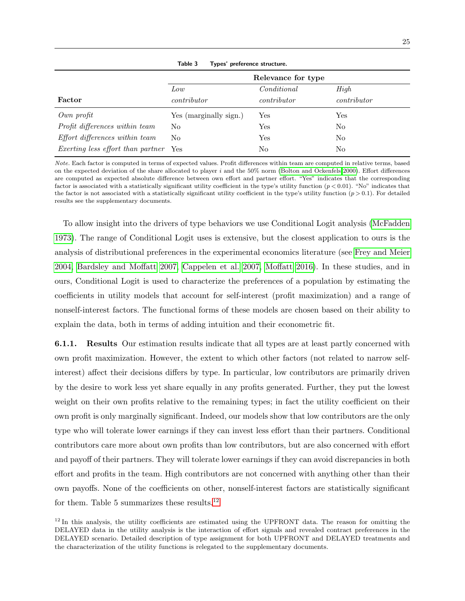|                                       | Relevance for type     |                      |                      |  |  |
|---------------------------------------|------------------------|----------------------|----------------------|--|--|
|                                       | Low                    | Conditional          | High                 |  |  |
| Factor                                | contributor            | contributor          | contributor          |  |  |
| $Own$ profit                          | Yes (marginally sign.) | $\operatorname{Yes}$ | $\operatorname{Yes}$ |  |  |
| Profit differences within team        | No                     | Yes                  | No                   |  |  |
| Effort differences within team        | No.                    | Yes                  | No                   |  |  |
| Exerting less effort than partner Yes |                        | No                   | No                   |  |  |

Table 3 Types' preference structure.

Note. Each factor is computed in terms of expected values. Profit differences within team are computed in relative terms, based on the expected deviation of the share allocated to player  $i$  and the 50% norm [\(Bolton and Ockenfels 2000\)](#page-30-10). Effort differences are computed as expected absolute difference between own effort and partner effort. "Yes" indicates that the corresponding factor is associated with a statistically significant utility coefficient in the type's utility function  $(p < 0.01)$ . "No" indicates that the factor is not associated with a statistically significant utility coefficient in the type's utility function  $(p > 0.1)$ . For detailed results see the supplementary documents.

To allow insight into the drivers of type behaviors we use Conditional Logit analysis [\(McFadden](#page-32-14) [1973\)](#page-32-14). The range of Conditional Logit uses is extensive, but the closest application to ours is the analysis of distributional preferences in the experimental economics literature (see [Frey and Meier](#page-31-13) [2004,](#page-31-13) [Bardsley and Moffatt 2007,](#page-30-11) [Cappelen et al. 2007,](#page-30-4) [Moffatt 2016\)](#page-32-15). In these studies, and in ours, Conditional Logit is used to characterize the preferences of a population by estimating the coefficients in utility models that account for self-interest (profit maximization) and a range of nonself-interest factors. The functional forms of these models are chosen based on their ability to explain the data, both in terms of adding intuition and their econometric fit.

6.1.1. Results Our estimation results indicate that all types are at least partly concerned with own profit maximization. However, the extent to which other factors (not related to narrow selfinterest) affect their decisions differs by type. In particular, low contributors are primarily driven by the desire to work less yet share equally in any profits generated. Further, they put the lowest weight on their own profits relative to the remaining types; in fact the utility coefficient on their own profit is only marginally significant. Indeed, our models show that low contributors are the only type who will tolerate lower earnings if they can invest less effort than their partners. Conditional contributors care more about own profits than low contributors, but are also concerned with effort and payoff of their partners. They will tolerate lower earnings if they can avoid discrepancies in both effort and profits in the team. High contributors are not concerned with anything other than their own payoffs. None of the coefficients on other, nonself-interest factors are statistically significant for them. Table 5 summarizes these results.<sup>[12](#page-24-0)</sup>

<span id="page-24-0"></span><sup>&</sup>lt;sup>12</sup> In this analysis, the utility coefficients are estimated using the UPFRONT data. The reason for omitting the DELAYED data in the utility analysis is the interaction of effort signals and revealed contract preferences in the DELAYED scenario. Detailed description of type assignment for both UPFRONT and DELAYED treatments and the characterization of the utility functions is relegated to the supplementary documents.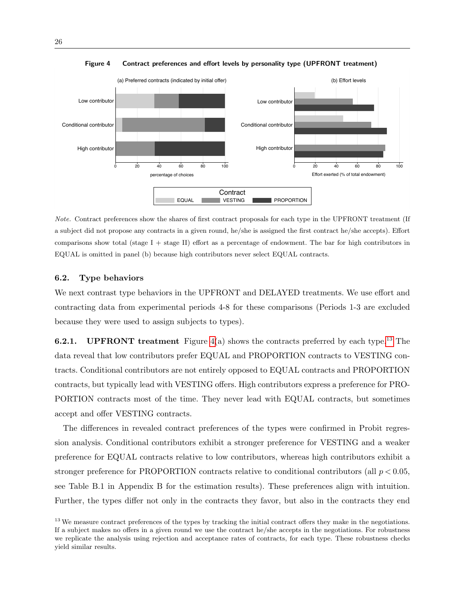

<span id="page-25-0"></span>Figure 4 Contract preferences and effort levels by personality type (UPFRONT treatment)

Note. Contract preferences show the shares of first contract proposals for each type in the UPFRONT treatment (If a subject did not propose any contracts in a given round, he/she is assigned the first contract he/she accepts). Effort comparisons show total (stage  $I$  + stage II) effort as a percentage of endowment. The bar for high contributors in EQUAL is omitted in panel (b) because high contributors never select EQUAL contracts.

#### 6.2. Type behaviors

We next contrast type behaviors in the UPFRONT and DELAYED treatments. We use effort and contracting data from experimental periods 4-8 for these comparisons (Periods 1-3 are excluded because they were used to assign subjects to types).

**6.2.1.** UPFRONT treatment Figure  $4(a)$  shows the contracts preferred by each type.<sup>[13](#page-25-1)</sup> The data reveal that low contributors prefer EQUAL and PROPORTION contracts to VESTING contracts. Conditional contributors are not entirely opposed to EQUAL contracts and PROPORTION contracts, but typically lead with VESTING offers. High contributors express a preference for PRO-PORTION contracts most of the time. They never lead with EQUAL contracts, but sometimes accept and offer VESTING contracts.

The differences in revealed contract preferences of the types were confirmed in Probit regression analysis. Conditional contributors exhibit a stronger preference for VESTING and a weaker preference for EQUAL contracts relative to low contributors, whereas high contributors exhibit a stronger preference for PROPORTION contracts relative to conditional contributors (all  $p < 0.05$ , see Table B.1 in Appendix B for the estimation results). These preferences align with intuition. Further, the types differ not only in the contracts they favor, but also in the contracts they end

<span id="page-25-1"></span><sup>&</sup>lt;sup>13</sup> We measure contract preferences of the types by tracking the initial contract offers they make in the negotiations. If a subject makes no offers in a given round we use the contract he/she accepts in the negotiations. For robustness we replicate the analysis using rejection and acceptance rates of contracts, for each type. These robustness checks yield similar results.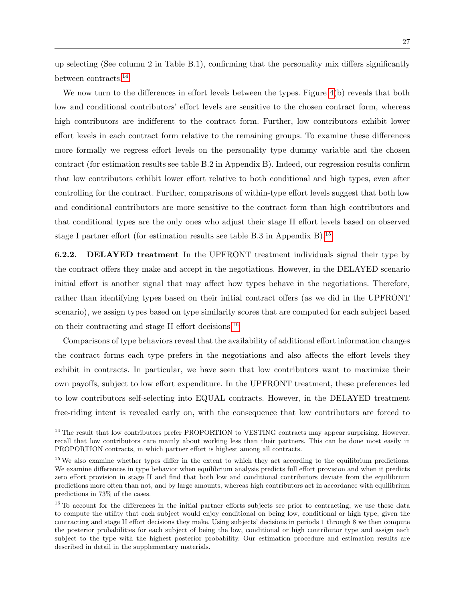up selecting (See column 2 in Table B.1), confirming that the personality mix differs significantly between contracts.[14](#page-26-0)

We now turn to the differences in effort levels between the types. Figure [4\(](#page-25-0)b) reveals that both low and conditional contributors' effort levels are sensitive to the chosen contract form, whereas high contributors are indifferent to the contract form. Further, low contributors exhibit lower effort levels in each contract form relative to the remaining groups. To examine these differences more formally we regress effort levels on the personality type dummy variable and the chosen contract (for estimation results see table B.2 in Appendix B). Indeed, our regression results confirm that low contributors exhibit lower effort relative to both conditional and high types, even after controlling for the contract. Further, comparisons of within-type effort levels suggest that both low and conditional contributors are more sensitive to the contract form than high contributors and that conditional types are the only ones who adjust their stage II effort levels based on observed stage I partner effort (for estimation results see table B.3 in Appendix B).<sup>[15](#page-26-1)</sup>

6.2.2. DELAYED treatment In the UPFRONT treatment individuals signal their type by the contract offers they make and accept in the negotiations. However, in the DELAYED scenario initial effort is another signal that may affect how types behave in the negotiations. Therefore, rather than identifying types based on their initial contract offers (as we did in the UPFRONT scenario), we assign types based on type similarity scores that are computed for each subject based on their contracting and stage II effort decisions.[16](#page-26-2)

Comparisons of type behaviors reveal that the availability of additional effort information changes the contract forms each type prefers in the negotiations and also affects the effort levels they exhibit in contracts. In particular, we have seen that low contributors want to maximize their own payoffs, subject to low effort expenditure. In the UPFRONT treatment, these preferences led to low contributors self-selecting into EQUAL contracts. However, in the DELAYED treatment free-riding intent is revealed early on, with the consequence that low contributors are forced to

<span id="page-26-0"></span> $14$  The result that low contributors prefer PROPORTION to VESTING contracts may appear surprising. However, recall that low contributors care mainly about working less than their partners. This can be done most easily in PROPORTION contracts, in which partner effort is highest among all contracts.

<span id="page-26-1"></span><sup>&</sup>lt;sup>15</sup> We also examine whether types differ in the extent to which they act according to the equilibrium predictions. We examine differences in type behavior when equilibrium analysis predicts full effort provision and when it predicts zero effort provision in stage II and find that both low and conditional contributors deviate from the equilibrium predictions more often than not, and by large amounts, whereas high contributors act in accordance with equilibrium predictions in 73% of the cases.

<span id="page-26-2"></span><sup>&</sup>lt;sup>16</sup> To account for the differences in the initial partner efforts subjects see prior to contracting, we use these data to compute the utility that each subject would enjoy conditional on being low, conditional or high type, given the contracting and stage II effort decisions they make. Using subjects' decisions in periods 1 through 8 we then compute the posterior probabilities for each subject of being the low, conditional or high contributor type and assign each subject to the type with the highest posterior probability. Our estimation procedure and estimation results are described in detail in the supplementary materials.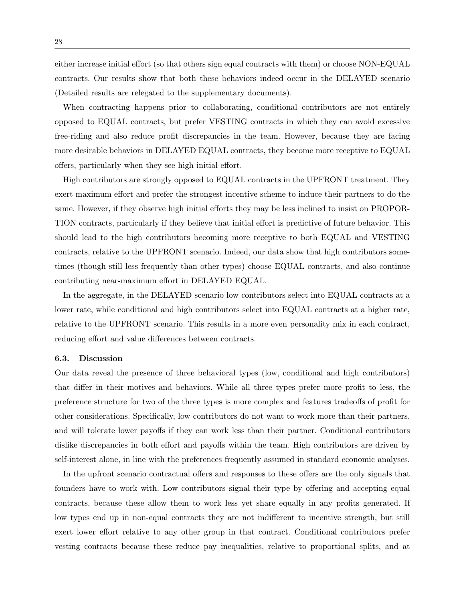either increase initial effort (so that others sign equal contracts with them) or choose NON-EQUAL contracts. Our results show that both these behaviors indeed occur in the DELAYED scenario (Detailed results are relegated to the supplementary documents).

When contracting happens prior to collaborating, conditional contributors are not entirely opposed to EQUAL contracts, but prefer VESTING contracts in which they can avoid excessive free-riding and also reduce profit discrepancies in the team. However, because they are facing more desirable behaviors in DELAYED EQUAL contracts, they become more receptive to EQUAL offers, particularly when they see high initial effort.

High contributors are strongly opposed to EQUAL contracts in the UPFRONT treatment. They exert maximum effort and prefer the strongest incentive scheme to induce their partners to do the same. However, if they observe high initial efforts they may be less inclined to insist on PROPOR-TION contracts, particularly if they believe that initial effort is predictive of future behavior. This should lead to the high contributors becoming more receptive to both EQUAL and VESTING contracts, relative to the UPFRONT scenario. Indeed, our data show that high contributors sometimes (though still less frequently than other types) choose EQUAL contracts, and also continue contributing near-maximum effort in DELAYED EQUAL.

In the aggregate, in the DELAYED scenario low contributors select into EQUAL contracts at a lower rate, while conditional and high contributors select into EQUAL contracts at a higher rate, relative to the UPFRONT scenario. This results in a more even personality mix in each contract, reducing effort and value differences between contracts.

#### 6.3. Discussion

Our data reveal the presence of three behavioral types (low, conditional and high contributors) that differ in their motives and behaviors. While all three types prefer more profit to less, the preference structure for two of the three types is more complex and features tradeoffs of profit for other considerations. Specifically, low contributors do not want to work more than their partners, and will tolerate lower payoffs if they can work less than their partner. Conditional contributors dislike discrepancies in both effort and payoffs within the team. High contributors are driven by self-interest alone, in line with the preferences frequently assumed in standard economic analyses.

In the upfront scenario contractual offers and responses to these offers are the only signals that founders have to work with. Low contributors signal their type by offering and accepting equal contracts, because these allow them to work less yet share equally in any profits generated. If low types end up in non-equal contracts they are not indifferent to incentive strength, but still exert lower effort relative to any other group in that contract. Conditional contributors prefer vesting contracts because these reduce pay inequalities, relative to proportional splits, and at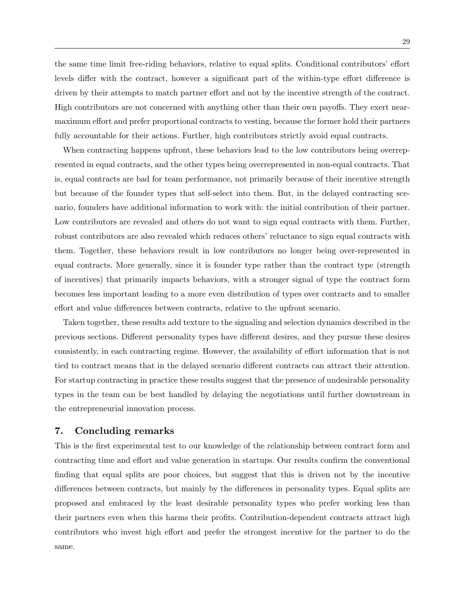the same time limit free-riding behaviors, relative to equal splits. Conditional contributors' effort levels differ with the contract, however a significant part of the within-type effort difference is driven by their attempts to match partner effort and not by the incentive strength of the contract. High contributors are not concerned with anything other than their own payoffs. They exert nearmaximum effort and prefer proportional contracts to vesting, because the former hold their partners fully accountable for their actions. Further, high contributors strictly avoid equal contracts.

When contracting happens upfront, these behaviors lead to the low contributors being overrepresented in equal contracts, and the other types being overrepresented in non-equal contracts. That is, equal contracts are bad for team performance, not primarily because of their incentive strength but because of the founder types that self-select into them. But, in the delayed contracting scenario, founders have additional information to work with: the initial contribution of their partner. Low contributors are revealed and others do not want to sign equal contracts with them. Further, robust contributors are also revealed which reduces others' reluctance to sign equal contracts with them. Together, these behaviors result in low contributors no longer being over-represented in equal contracts. More generally, since it is founder type rather than the contract type (strength of incentives) that primarily impacts behaviors, with a stronger signal of type the contract form becomes less important leading to a more even distribution of types over contracts and to smaller effort and value differences between contracts, relative to the upfront scenario.

Taken together, these results add texture to the signaling and selection dynamics described in the previous sections. Different personality types have different desires, and they pursue these desires consistently, in each contracting regime. However, the availability of effort information that is not tied to contract means that in the delayed scenario different contracts can attract their attention. For startup contracting in practice these results suggest that the presence of undesirable personality types in the team can be best handled by delaying the negotiations until further downstream in the entrepreneurial innovation process.

## 7. Concluding remarks

This is the first experimental test to our knowledge of the relationship between contract form and contracting time and effort and value generation in startups. Our results confirm the conventional finding that equal splits are poor choices, but suggest that this is driven not by the incentive differences between contracts, but mainly by the differences in personality types. Equal splits are proposed and embraced by the least desirable personality types who prefer working less than their partners even when this harms their profits. Contribution-dependent contracts attract high contributors who invest high effort and prefer the strongest incentive for the partner to do the same.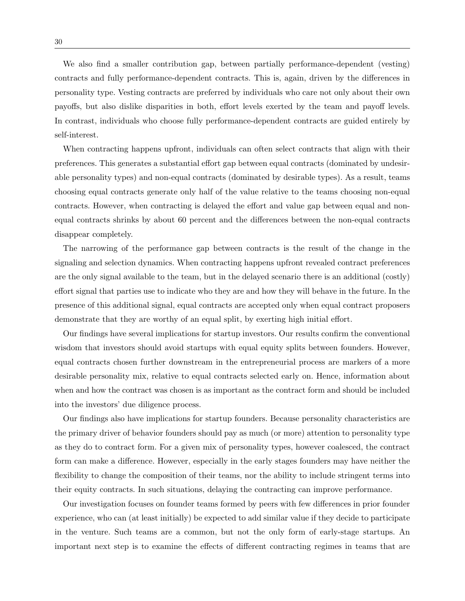We also find a smaller contribution gap, between partially performance-dependent (vesting) contracts and fully performance-dependent contracts. This is, again, driven by the differences in personality type. Vesting contracts are preferred by individuals who care not only about their own payoffs, but also dislike disparities in both, effort levels exerted by the team and payoff levels. In contrast, individuals who choose fully performance-dependent contracts are guided entirely by self-interest.

When contracting happens upfront, individuals can often select contracts that align with their preferences. This generates a substantial effort gap between equal contracts (dominated by undesirable personality types) and non-equal contracts (dominated by desirable types). As a result, teams choosing equal contracts generate only half of the value relative to the teams choosing non-equal contracts. However, when contracting is delayed the effort and value gap between equal and nonequal contracts shrinks by about 60 percent and the differences between the non-equal contracts disappear completely.

The narrowing of the performance gap between contracts is the result of the change in the signaling and selection dynamics. When contracting happens upfront revealed contract preferences are the only signal available to the team, but in the delayed scenario there is an additional (costly) effort signal that parties use to indicate who they are and how they will behave in the future. In the presence of this additional signal, equal contracts are accepted only when equal contract proposers demonstrate that they are worthy of an equal split, by exerting high initial effort.

Our findings have several implications for startup investors. Our results confirm the conventional wisdom that investors should avoid startups with equal equity splits between founders. However, equal contracts chosen further downstream in the entrepreneurial process are markers of a more desirable personality mix, relative to equal contracts selected early on. Hence, information about when and how the contract was chosen is as important as the contract form and should be included into the investors' due diligence process.

Our findings also have implications for startup founders. Because personality characteristics are the primary driver of behavior founders should pay as much (or more) attention to personality type as they do to contract form. For a given mix of personality types, however coalesced, the contract form can make a difference. However, especially in the early stages founders may have neither the flexibility to change the composition of their teams, nor the ability to include stringent terms into their equity contracts. In such situations, delaying the contracting can improve performance.

Our investigation focuses on founder teams formed by peers with few differences in prior founder experience, who can (at least initially) be expected to add similar value if they decide to participate in the venture. Such teams are a common, but not the only form of early-stage startups. An important next step is to examine the effects of different contracting regimes in teams that are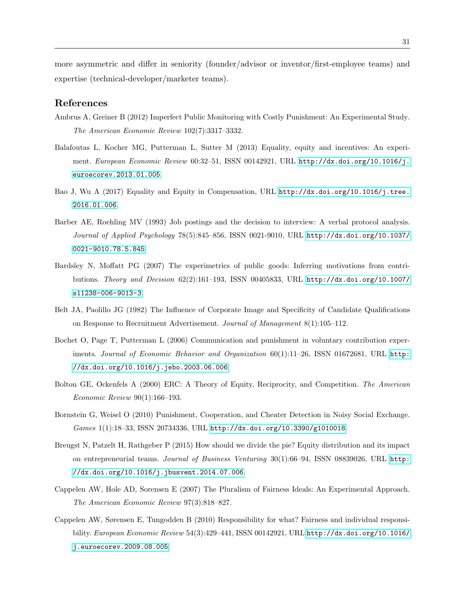more asymmetric and differ in seniority (founder/advisor or inventor/first-employee teams) and expertise (technical-developer/marketer teams).

# <span id="page-30-7"></span>References

- Ambrus A, Greiner B (2012) Imperfect Public Monitoring with Costly Punishment: An Experimental Study. The American Economic Review 102(7):3317–3332.
- <span id="page-30-8"></span>Balafoutas L, Kocher MG, Putterman L, Sutter M (2013) Equality, equity and incentives: An experiment. European Economic Review 60:32-51, ISSN 00142921, URL [http://dx.doi.org/10.1016/j.](http://dx.doi.org/10.1016/j.euroecorev.2013.01.005) [euroecorev.2013.01.005](http://dx.doi.org/10.1016/j.euroecorev.2013.01.005).
- <span id="page-30-2"></span>Bao J, Wu A (2017) Equality and Equity in Compensation, URL [http://dx.doi.org/10.1016/j.tree.](http://dx.doi.org/10.1016/j.tree.2016.01.006) [2016.01.006](http://dx.doi.org/10.1016/j.tree.2016.01.006).
- <span id="page-30-1"></span>Barber AE, Roehling MV (1993) Job postings and the decision to interview: A verbal protocol analysis. Journal of Applied Psychology 78(5):845–856, ISSN 0021-9010, URL [http://dx.doi.org/10.1037/](http://dx.doi.org/10.1037/0021-9010.78.5.845) [0021-9010.78.5.845](http://dx.doi.org/10.1037/0021-9010.78.5.845).
- <span id="page-30-11"></span>Bardsley N, Moffatt PG (2007) The experimetrics of public goods: Inferring motivations from contributions. Theory and Decision 62(2):161–193, ISSN 00405833, URL [http://dx.doi.org/10.1007/](http://dx.doi.org/10.1007/s11238-006-9013-3) [s11238-006-9013-3](http://dx.doi.org/10.1007/s11238-006-9013-3).
- <span id="page-30-0"></span>Belt JA, Paolillo JG (1982) The Influence of Corporate Image and Specificity of Candidate Qualifications on Response to Recruitment Advertisement. Journal of Management 8(1):105–112.
- <span id="page-30-9"></span>Bochet O, Page T, Putterman L (2006) Communication and punishment in voluntary contribution experiments. Journal of Economic Behavior and Organization 60(1):11-26, ISSN 01672681, URL [http:](http://dx.doi.org/10.1016/j.jebo.2003.06.006) [//dx.doi.org/10.1016/j.jebo.2003.06.006](http://dx.doi.org/10.1016/j.jebo.2003.06.006).
- <span id="page-30-10"></span>Bolton GE, Ockenfels A (2000) ERC: A Theory of Equity, Reciprocity, and Competition. The American Economic Review 90(1):166–193.
- <span id="page-30-6"></span>Bornstein G, Weisel O (2010) Punishment, Cooperation, and Cheater Detection in Noisy Social Exchange. Games 1(1):18–33, ISSN 20734336, URL <http://dx.doi.org/10.3390/g1010018>.
- <span id="page-30-3"></span>Breugst N, Patzelt H, Rathgeber P (2015) How should we divide the pie? Equity distribution and its impact on entrepreneurial teams. Journal of Business Venturing 30(1):66-94, ISSN 08839026, URL [http:](http://dx.doi.org/10.1016/j.jbusvent.2014.07.006) [//dx.doi.org/10.1016/j.jbusvent.2014.07.006](http://dx.doi.org/10.1016/j.jbusvent.2014.07.006).
- <span id="page-30-4"></span>Cappelen AW, Hole AD, Sorensen E (2007) The Pluralism of Fairness Ideals: An Experimental Approach. The American Economic Review 97(3):818–827.
- <span id="page-30-5"></span>Cappelen AW, Sørensen E, Tungodden B (2010) Responsibility for what? Fairness and individual responsibility. European Economic Review 54(3):429–441, ISSN 00142921, URL [http://dx.doi.org/10.1016/](http://dx.doi.org/10.1016/j.euroecorev.2009.08.005) [j.euroecorev.2009.08.005](http://dx.doi.org/10.1016/j.euroecorev.2009.08.005).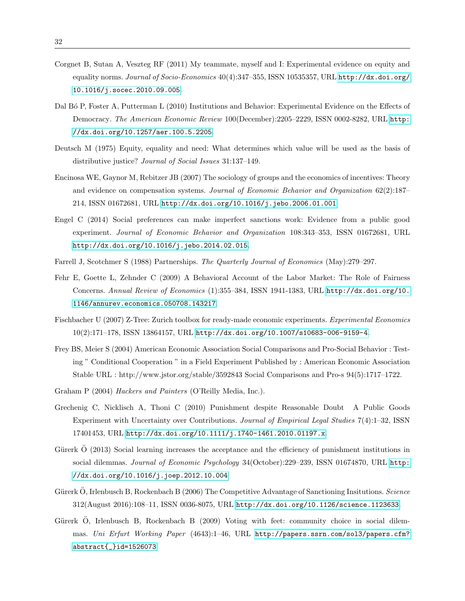- <span id="page-31-11"></span>Corgnet B, Sutan A, Veszteg RF (2011) My teammate, myself and I: Experimental evidence on equity and equality norms. Journal of Socio-Economics  $40(4):347-355$ , ISSN 10535357, URL [http://dx.doi.org/](http://dx.doi.org/10.1016/j.socec.2010.09.005) [10.1016/j.socec.2010.09.005](http://dx.doi.org/10.1016/j.socec.2010.09.005).
- <span id="page-31-12"></span>Dal B´o P, Foster A, Putterman L (2010) Institutions and Behavior: Experimental Evidence on the Effects of Democracy. The American Economic Review 100(December):2205–2229, ISSN 0002-8282, URL [http:](http://dx.doi.org/10.1257/aer.100.5.2205) [//dx.doi.org/10.1257/aer.100.5.2205](http://dx.doi.org/10.1257/aer.100.5.2205).
- <span id="page-31-1"></span>Deutsch M (1975) Equity, equality and need: What determines which value will be used as the basis of distributive justice? Journal of Social Issues 31:137–149.
- <span id="page-31-3"></span>Encinosa WE, Gaynor M, Rebitzer JB (2007) The sociology of groups and the economics of incentives: Theory and evidence on compensation systems. Journal of Economic Behavior and Organization  $62(2):187-$ 214, ISSN 01672681, URL <http://dx.doi.org/10.1016/j.jebo.2006.01.001>.
- <span id="page-31-8"></span>Engel C (2014) Social preferences can make imperfect sanctions work: Evidence from a public good experiment. Journal of Economic Behavior and Organization 108:343–353, ISSN 01672681, URL <http://dx.doi.org/10.1016/j.jebo.2014.02.015>.
- <span id="page-31-4"></span>Farrell J, Scotchmer S (1988) Partnerships. The Quarterly Journal of Economics (May):279–297.
- <span id="page-31-2"></span>Fehr E, Goette L, Zehnder C (2009) A Behavioral Account of the Labor Market: The Role of Fairness Concerns. Annual Review of Economics (1):355–384, ISSN 1941-1383, URL [http://dx.doi.org/10.](http://dx.doi.org/10.1146/annurev.economics.050708.143217) [1146/annurev.economics.050708.143217](http://dx.doi.org/10.1146/annurev.economics.050708.143217).
- <span id="page-31-9"></span>Fischbacher U (2007) Z-Tree: Zurich toolbox for ready-made economic experiments. Experimental Economics 10(2):171–178, ISSN 13864157, URL <http://dx.doi.org/10.1007/s10683-006-9159-4>.
- <span id="page-31-13"></span>Frey BS, Meier S (2004) American Economic Association Social Comparisons and Pro-Social Behavior : Testing " Conditional Cooperation " in a Field Experiment Published by : American Economic Association Stable URL : http://www.jstor.org/stable/3592843 Social Comparisons and Pro-s 94(5):1717–1722.
- <span id="page-31-0"></span>Graham P (2004) Hackers and Painters (O'Reilly Media, Inc.).
- <span id="page-31-10"></span>Grechenig C, Nicklisch A, Thoni C (2010) Punishment despite Reasonable Doubt A Public Goods Experiment with Uncertainty over Contributions. Journal of Empirical Legal Studies 7(4):1–32, ISSN 17401453, URL <http://dx.doi.org/10.1111/j.1740-1461.2010.01197.x>.
- <span id="page-31-7"></span>Gürerk  $\ddot{O}$  (2013) Social learning increases the acceptance and the efficiency of punishment institutions in social dilemmas. Journal of Economic Psychology 34(October):229-239, ISSN 01674870, URL [http:](http://dx.doi.org/10.1016/j.joep.2012.10.004) [//dx.doi.org/10.1016/j.joep.2012.10.004](http://dx.doi.org/10.1016/j.joep.2012.10.004).
- <span id="page-31-5"></span>Gürerk  $\ddot{O}$ , Irlenbusch B, Rockenbach B (2006) The Competitive Advantage of Sanctioning Insitutions. *Science* 312(August 2016):108–11, ISSN 0036-8075, URL <http://dx.doi.org/10.1126/science.1123633>.
- <span id="page-31-6"></span>Gürerk Ö, Irlenbusch B, Rockenbach B (2009) Voting with feet: community choice in social dilemmas. Uni Erfurt Working Paper (4643):1–46, URL [http://papers.ssrn.com/sol3/papers.cfm?](http://papers.ssrn.com/sol3/papers.cfm?abstract{_}id=1526073) [abstract{\\_}id=1526073](http://papers.ssrn.com/sol3/papers.cfm?abstract{_}id=1526073).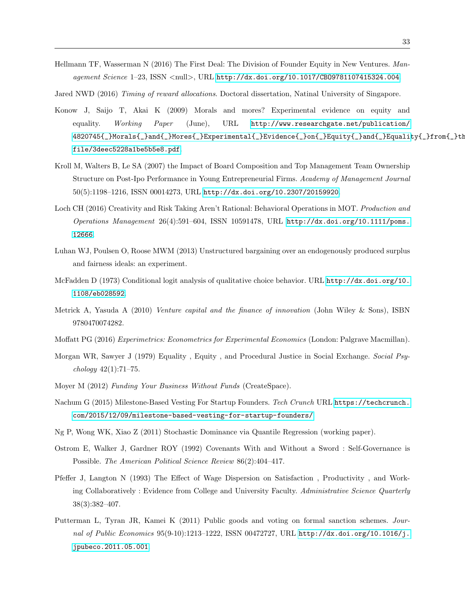<span id="page-32-5"></span>Hellmann TF, Wasserman N (2016) The First Deal: The Division of Founder Equity in New Ventures. Management Science 1-23, ISSN <null>, URL http://dx.doi.org/10.1017/CB09781107415324.004.

<span id="page-32-6"></span>Jared NWD (2016) Timing of reward allocations. Doctoral dissertation, Natinal University of Singapore.

- <span id="page-32-12"></span>Konow J, Saijo T, Akai K (2009) Morals and mores? Experimental evidence on equity and equality. Working Paper (June), URL [http://www.researchgate.net/publication/](http://www.researchgate.net/publication/4820745{_}Morals{_}and{_}Mores{_}Experimental{_}Evidence{_}on{_}Equity{_}and{_}Equality{_}from{_}the{_}US{_}and{_}Japan/file/3deec5228a1be5b5e8.pdf) [4820745{\\_}Morals{\\_}and{\\_}Mores{\\_}Experimental{\\_}Evidence{\\_}on{\\_}Equity{\\_}and{\\_}Equalit](http://www.researchgate.net/publication/4820745{_}Morals{_}and{_}Mores{_}Experimental{_}Evidence{_}on{_}Equity{_}and{_}Equality{_}from{_}the{_}US{_}and{_}Japan/file/3deec5228a1be5b5e8.pdf)y{\_}from{\_}the{\_}US{\_}and{\_}Japan/ [file/3deec5228a1be5b5e8.pdf](http://www.researchgate.net/publication/4820745{_}Morals{_}and{_}Mores{_}Experimental{_}Evidence{_}on{_}Equity{_}and{_}Equality{_}from{_}the{_}US{_}and{_}Japan/file/3deec5228a1be5b5e8.pdf).
- <span id="page-32-3"></span>Kroll M, Walters B, Le SA (2007) the Impact of Board Composition and Top Management Team Ownership Structure on Post-Ipo Performance in Young Entrepreneurial Firms. Academy of Management Journal 50(5):1198–1216, ISSN 00014273, URL <http://dx.doi.org/10.2307/20159920>.
- <span id="page-32-7"></span>Loch CH (2016) Creativity and Risk Taking Aren't Rational: Behavioral Operations in MOT. Production and Operations Management 26(4):591–604, ISSN 10591478, URL [http://dx.doi.org/10.1111/poms.](http://dx.doi.org/10.1111/poms.12666) [12666](http://dx.doi.org/10.1111/poms.12666).
- <span id="page-32-10"></span>Luhan WJ, Poulsen O, Roose MWM (2013) Unstructured bargaining over an endogenously produced surplus and fairness ideals: an experiment.
- <span id="page-32-14"></span>McFadden D (1973) Conditional logit analysis of qualitative choice behavior. URL [http://dx.doi.org/10.](http://dx.doi.org/10.1108/eb028592) [1108/eb028592](http://dx.doi.org/10.1108/eb028592).
- <span id="page-32-1"></span>Metrick A, Yasuda A (2010) Venture capital and the finance of innovation (John Wiley & Sons), ISBN 9780470074282.
- <span id="page-32-15"></span>Moffatt PG (2016) Experimetrics: Econometrics for Experimental Economics (London: Palgrave Macmillan).
- <span id="page-32-2"></span>Morgan WR, Sawyer J (1979) Equality, Equity, and Procedural Justice in Social Exchange. Social Psy $chology 42(1):71–75.$
- <span id="page-32-0"></span>Moyer M (2012) Funding Your Business Without Funds (CreateSpace).
- <span id="page-32-11"></span>Nachum G (2015) Milestone-Based Vesting For Startup Founders. Tech Crunch URL [https://techcrunch.](https://techcrunch.com/2015/12/09/milestone-based-vesting-for-startup-founders/) [com/2015/12/09/milestone-based-vesting-for-startup-founders/](https://techcrunch.com/2015/12/09/milestone-based-vesting-for-startup-founders/).
- <span id="page-32-13"></span>Ng P, Wong WK, Xiao Z (2011) Stochastic Dominance via Quantile Regression (working paper).
- <span id="page-32-8"></span>Ostrom E, Walker J, Gardner ROY (1992) Covenants With and Without a Sword : Self-Governance is Possible. The American Political Science Review 86(2):404–417.
- <span id="page-32-4"></span>Pfeffer J, Langton N (1993) The Effect of Wage Dispersion on Satisfaction , Productivity , and Working Collaboratively : Evidence from College and University Faculty. Administrative Science Quarterly 38(3):382–407.
- <span id="page-32-9"></span>Putterman L, Tyran JR, Kamei K (2011) Public goods and voting on formal sanction schemes. Journal of Public Economics 95(9-10):1213–1222, ISSN 00472727, URL [http://dx.doi.org/10.1016/j.](http://dx.doi.org/10.1016/j.jpubeco.2011.05.001) [jpubeco.2011.05.001](http://dx.doi.org/10.1016/j.jpubeco.2011.05.001).